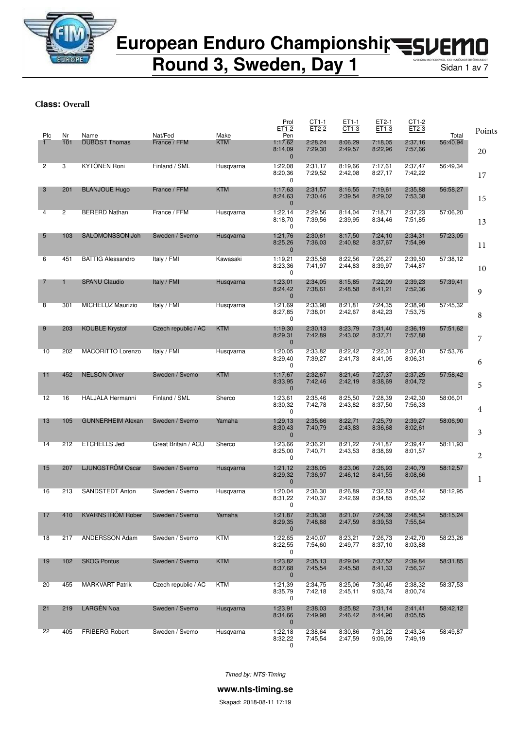

**Round 3, Sweden, Day 1** Sidan 1 av 7

**Class: Overall**

| Plc | Nr             | Name                     | Nat/Fed             | Make       | Prol<br>ET1-2<br>Pen                   | $CT1-1$<br>ET2-2   | ET1-1<br>CT1-3     | ET2-1<br>ET1-3     | CT1-2<br>ET2-3     | Total    | Points |
|-----|----------------|--------------------------|---------------------|------------|----------------------------------------|--------------------|--------------------|--------------------|--------------------|----------|--------|
|     | 101            | <b>DUBOST Thomas</b>     | France / FFM        | <b>KTM</b> | 1:17,62<br>8:14,09<br>$\mathbf 0$      | 2:28,24<br>7:29,30 | 8:06,29<br>2:49,57 | 7:18,05<br>8:22,96 | 2:37,16<br>7:57,66 | 56:40,94 | 20     |
| 2   | 3              | <b>KYTÖNEN Roni</b>      | Finland / SML       | Husgvarna  | 1:22,08<br>8:20,36<br>0                | 2:31,17<br>7:29,52 | 8:19,66<br>2:42,08 | 7:17,61<br>8:27,17 | 2:37,47<br>7:42,22 | 56:49,34 | 17     |
| 3   | 201            | <b>BLANJOUE Hugo</b>     | France / FFM        | <b>KTM</b> | 1:17,63<br>8:24,63<br>$\mathbf{0}$     | 2:31,57<br>7:30,46 | 8:16,55<br>2:39,54 | 7:19,61<br>8:29,02 | 2:35,88<br>7:53,38 | 56:58,27 | 15     |
| 4   | $\overline{2}$ | <b>BERERD Nathan</b>     | France / FFM        | Husqvarna  | 1:22,14<br>8:18,70<br>0                | 2:29,56<br>7:39,56 | 8:14,04<br>2:39,95 | 7:18,71<br>8:34,46 | 2:37,23<br>7:51,85 | 57:06,20 | 13     |
| 5   | 103            | <b>SALOMONSSON Joh</b>   | Sweden / Svemo      | Husgvarna  | 1:21,76<br>8:25,26<br>$\mathbf 0$      | 2:30,61<br>7:36,03 | 8:17,50<br>2:40,82 | 7:24,10<br>8:37,67 | 2:34,31<br>7:54,99 | 57:23,05 | 11     |
| 6   | 451            | <b>BATTIG Alessandro</b> | Italy / FMI         | Kawasaki   | 1:19,21<br>8:23,36<br>0                | 2:35,58<br>7:41,97 | 8:22,56<br>2:44,83 | 7:26,27<br>8:39,97 | 2:39,50<br>7:44,87 | 57:38,12 | 10     |
| 7   | 1              | <b>SPANU Claudio</b>     | Italy / FMI         | Husqvarna  | 1:23,01<br>8:24,42<br>$\mathbf{0}$     | 2:34,05<br>7:38,61 | 8:15,85<br>2:48,58 | 7:22,09<br>8:41,21 | 2:39,23<br>7:52,36 | 57:39,41 | 9      |
| 8   | 301            | MICHELUZ Maurizio        | Italy / FMI         | Husqvarna  | 1:21,69<br>8:27,85<br>$\mathbf 0$      | 2:33,98<br>7:38,01 | 8:21,81<br>2:42,67 | 7:24,35<br>8:42,23 | 2:38,98<br>7:53,75 | 57:45,32 | 8      |
| 9   | 203            | <b>KOUBLE Krystof</b>    | Czech republic / AC | <b>KTM</b> | 1:19,30<br>8:29,31<br>$\mathbf 0$      | 2:30,13<br>7:42,89 | 8:23,79<br>2:43,02 | 7:31,40<br>8:37,71 | 2:36,19<br>7:57,88 | 57:51,62 | 7      |
| 10  | 202            | MACORITTO Lorenzo        | Italy / FMI         | Husqvarna  | 1:20,05<br>8:29,40<br>0                | 2:33,82<br>7:39,27 | 8:22,42<br>2:41,73 | 7:22,31<br>8:41,05 | 2:37.40<br>8:06,31 | 57:53,76 | 6      |
| 11  | 452            | <b>NELSON Oliver</b>     | Sweden / Svemo      | <b>KTM</b> | 1:17,67<br>8:33,95<br>$\mathbf 0$      | 2:32,67<br>7:42,46 | 8:21,45<br>2:42,19 | 7:27,37<br>8:38,69 | 2:37,25<br>8:04,72 | 57:58,42 | 5      |
| 12  | 16             | HALJALA Hermanni         | Finland / SML       | Sherco     | 1:23,61<br>8:30,32<br>0                | 2:35,46<br>7:42,78 | 8:25,50<br>2:43,82 | 7:28,39<br>8:37,50 | 2:42,30<br>7:56,33 | 58:06.01 | 4      |
| 13  | 105            | <b>GUNNERHEIM Alexan</b> | Sweden / Svemo      | Yamaha     | 1:29,13<br>8:30,43<br>$\mathbf{0}$     | 2:35,66<br>7:40,79 | 8:22,71<br>2:43,83 | 7:25,79<br>8:36,68 | 2:39,27<br>8:02,61 | 58:06,90 | 3      |
| 14  | 212            | <b>ETCHELLS Jed</b>      | Great Britain / ACU | Sherco     | 1:23,66<br>8:25,00<br>0                | 2:36,21<br>7:40,71 | 8:21,22<br>2:43,53 | 7:41,87<br>8:38,69 | 2:39,47<br>8:01,57 | 58:11.93 | 2      |
| 15  | 207            | LJUNGSTRÖM Oscar         | Sweden / Svemo      | Husqvarna  | 1:21,12<br>8:29,32<br>$\mathbf 0$      | 2:38,05<br>7:36,97 | 8:23,06<br>2:46,12 | 7:26.93<br>8:41,55 | 2:40,79<br>8:08,66 | 58:12,57 | 1      |
| 16  | 213            | <b>SANDSTEDT Anton</b>   | Sweden / Svemo      | Husgvarna  | 1:20,04<br>8:31,22<br>$\Omega$         | 2:36,30<br>7:40,37 | 8:26,89<br>2:42,69 | 7:32,83<br>8:34,85 | 2:42.44<br>8:05,32 | 58:12,95 |        |
| 17  | 410            | <b>KVARNSTRÖM Rober</b>  | Sweden / Svemo      | Yamaha     | 1:21,87<br>8:29,35<br>$\mathbf 0$      | 2:38,38<br>7:48,88 | 8:21,07<br>2:47,59 | 7:24,39<br>8:39,53 | 2:48,54<br>7:55,64 | 58:15,24 |        |
| 18  | 217            | ANDERSSON Adam           | Sweden / Svemo      | <b>KTM</b> | 1:22,65<br>8:22,55<br>0                | 2:40,07<br>7:54,60 | 8:23,21<br>2:49,77 | 7:26,73<br>8:37,10 | 2:42,70<br>8:03,88 | 58:23,26 |        |
| 19  | 102            | <b>SKOG Pontus</b>       | Sweden / Svemo      | <b>KTM</b> | 1:23,82<br>8:37,68<br>$\mathbf 0$      | 2:35,13<br>7:45,54 | 8:29,04<br>2:45,58 | 7:37,52<br>8:41,33 | 2:39,84<br>7:56,37 | 58:31,85 |        |
| 20  | 455            | <b>MARKVART Patrik</b>   | Czech republic / AC | KTM        | 1:21,39<br>8:35,79<br>0                | 2:34,75<br>7:42,18 | 8:25,06<br>2:45,11 | 7:30,45<br>9:03,74 | 2:38,32<br>8:00,74 | 58:37,53 |        |
| 21  | 219            | LARGÉN Noa               | Sweden / Svemo      | Husqvarna  | 1:23,91<br>8:34,66                     | 2:38,03<br>7:49,98 | 8:25,82<br>2:46,42 | 7:31,14<br>8:44,90 | 2:41,41<br>8:05,85 | 58:42,12 |        |
| 22  | 405            | <b>FRIBERG Robert</b>    | Sweden / Svemo      | Husqvarna  | $\mathbf 0$<br>1:22,18<br>8:32,22<br>0 | 2:38,64<br>7:45,54 | 8:30,86<br>2:47,59 | 7:31,22<br>9:09,09 | 2:43,34<br>7:49,19 | 58:49,87 |        |

*Timed by: NTS-Timing*

**www.nts-timing.se**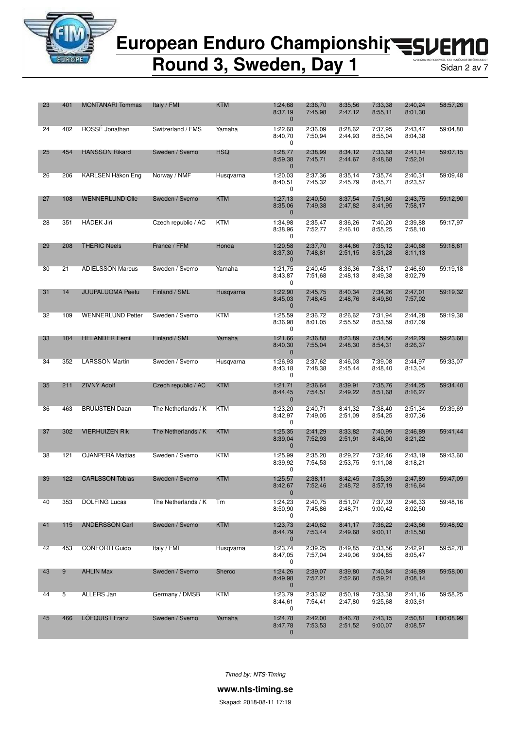

**Round 3, Sweden, Day 1** Sidan 2 av 7

| 23 | 401 | <b>MONTANARI</b> Tommas  | Italy / FMI         | <b>KTM</b> | 1:24,68<br>8:37,19<br>$\mathbf 0$  | 2:36,70<br>7:45,98 | 8:35,56<br>2:47,12 | 7:33,38<br>8:55,11 | 2:40,24<br>8:01,30 | 58:57,26   |
|----|-----|--------------------------|---------------------|------------|------------------------------------|--------------------|--------------------|--------------------|--------------------|------------|
| 24 | 402 | ROSSÉ Jonathan           | Switzerland / FMS   | Yamaha     | 1:22,68<br>8:40,70<br>0            | 2:36,09<br>7:50,94 | 8:28,62<br>2:44,93 | 7:37,95<br>8:55,04 | 2:43,47<br>8:04,38 | 59:04,80   |
| 25 | 454 | <b>HANSSON Rikard</b>    | Sweden / Svemo      | <b>HSQ</b> | 1:28,77<br>8:59,38<br>$\mathbf{0}$ | 2:38,99<br>7:45,71 | 8:34.12<br>2:44,67 | 7:33,68<br>8:48,68 | 2:41,14<br>7:52,01 | 59:07,15   |
| 26 | 206 | KARLSEN Håkon Eng        | Norway / NMF        | Husqvarna  | 1:20,03<br>8:40,51<br>0            | 2:37,36<br>7:45,32 | 8:35,14<br>2:45,79 | 7:35,74<br>8:45,71 | 2:40,31<br>8:23,57 | 59:09,48   |
| 27 | 108 | <b>WENNERLUND Olle</b>   | Sweden / Svemo      | <b>KTM</b> | 1:27,13<br>8:35,06<br>$\mathbf 0$  | 2:40.50<br>7:49,38 | 8:37,54<br>2:47,82 | 7:51,60<br>8:41,95 | 2:43.75<br>7:58,17 | 59:12,90   |
| 28 | 351 | <b>HÁDEK Jirí</b>        | Czech republic / AC | <b>KTM</b> | 1:34,98<br>8:38,96<br>0            | 2:35,47<br>7:52,77 | 8:36,26<br>2:46,10 | 7:40,20<br>8:55,25 | 2:39,88<br>7:58,10 | 59:17.97   |
| 29 | 208 | <b>THERIC Neels</b>      | France / FFM        | Honda      | 1:20,58<br>8:37,30<br>$\mathbf{0}$ | 2:37,70<br>7:48,81 | 8:44,86<br>2:51,15 | 7:35,12<br>8:51,28 | 2:40,68<br>8:11,13 | 59:18.61   |
| 30 | 21  | <b>ADIELSSON Marcus</b>  | Sweden / Svemo      | Yamaha     | 1:21,75<br>8:43,87<br>0            | 2:40,45<br>7:51,68 | 8:36,36<br>2:48,13 | 7:38,17<br>8:49,38 | 2:46,60<br>8:02,79 | 59:19,18   |
| 31 | 14  | <b>JUUPALUOMA Peetu</b>  | Finland / SML       | Husqvarna  | 1:22,90<br>8:45,03<br>$\mathbf 0$  | 2:45,75<br>7:48,45 | 8:40,34<br>2:48,76 | 7:34,26<br>8:49,80 | 2:47,01<br>7:57,02 | 59:19,32   |
| 32 | 109 | <b>WENNERLUND Petter</b> | Sweden / Svemo      | KTM        | 1:25,59<br>8:36,98<br>0            | 2:36,72<br>8:01,05 | 8:26,62<br>2:55,52 | 7:31,94<br>8:53,59 | 2:44,28<br>8:07,09 | 59:19,38   |
| 33 | 104 | <b>HELANDER Eemil</b>    | Finland / SML       | Yamaha     | 1:21,66<br>8:40,30<br>$\mathbf{0}$ | 2:36,88<br>7:55,04 | 8:23,89<br>2:48,30 | 7:34,56<br>8:54,31 | 2:42.29<br>8:26,37 | 59:23,60   |
| 34 | 352 | <b>LARSSON Martin</b>    | Sweden / Svemo      | Husqvarna  | 1:26,93<br>8:43,18<br>0            | 2:37,62<br>7:48,38 | 8:46,03<br>2:45,44 | 7:39,08<br>8:48,40 | 2:44,97<br>8:13,04 | 59:33,07   |
| 35 | 211 | ZIVNÝ Adolf              | Czech republic / AC | <b>KTM</b> | 1:21,71<br>8:44,45<br>$\mathbf 0$  | 2:36,64<br>7:54,51 | 8:39,91<br>2:49,22 | 7:35,76<br>8:51,68 | 2:44,25<br>8:16,27 | 59:34,40   |
| 36 | 463 | <b>BRUIJSTEN Daan</b>    | The Netherlands / K | KTM        | 1:23,20<br>8:42,97<br>0            | 2:40,71<br>7:49,05 | 8:41,32<br>2:51,09 | 7:38,40<br>8:54,25 | 2:51,34<br>8:07,36 | 59:39,69   |
| 37 | 302 | <b>VIERHUIZEN Rik</b>    | The Netherlands / K | <b>KTM</b> | 1:25,35<br>8:39,04<br>$\mathbf{0}$ | 2:41,29<br>7:52,93 | 8:33,82<br>2:51,91 | 7:40,99<br>8:48,00 | 2:46,89<br>8:21,22 | 59:41,44   |
| 38 | 121 | OJANPERÄ Mattias         | Sweden / Svemo      | <b>KTM</b> | 1:25,99<br>8:39,92<br>0            | 2:35,20<br>7:54,53 | 8:29,27<br>2:53,75 | 7:32,46<br>9:11,08 | 2:43,19<br>8:18,21 | 59:43,60   |
| 39 | 122 | <b>CARLSSON Tobias</b>   | Sweden / Svemo      | <b>KTM</b> | 1:25,57<br>8:42,67<br>$\pmb{0}$    | 2:38,11<br>7:52,46 | 8:42,45<br>2:48,72 | 7:35,39<br>8:57,19 | 2:47,89<br>8:16,64 | 59:47,09   |
| 40 | 353 | <b>DOLFING Lucas</b>     | The Netherlands / K | Тm         | 1:24,23<br>8:50,90<br>0            | 2:40,75<br>7:45,86 | 8:51,07<br>2:48,71 | 7:37,39<br>9:00,42 | 2:46,33<br>8:02,50 | 59:48,16   |
| 41 | 115 | <b>ANDERSSON Carl</b>    | Sweden / Svemo      | <b>KTM</b> | 1:23,73<br>8:44,79<br>0            | 2:40.62<br>7:53,44 | 8:41,17<br>2:49,68 | 7:36,22<br>9:00,11 | 2:43,66<br>8:15,50 | 59:48,92   |
| 42 | 453 | <b>CONFORTI Guido</b>    | Italy / FMI         | Husqvarna  | 1:23,74<br>8:47,05<br>0            | 2:39,25<br>7:57,04 | 8:49,85<br>2:49,06 | 7:33.56<br>9:04,85 | 2:42,91<br>8:05,47 | 59:52,78   |
| 43 | 9   | <b>AHLIN Max</b>         | Sweden / Svemo      | Sherco     | 1:24,26<br>8:49,98<br>$\mathbf 0$  | 2:39,07<br>7:57,21 | 8:39,80<br>2:52,60 | 7:40,84<br>8:59,21 | 2:46,89<br>8:08,14 | 59:58,00   |
| 44 | 5   | ALLERS Jan               | Germany / DMSB      | KTM        | 1:23,79<br>8:44,61<br>0            | 2:33.62<br>7:54,41 | 8:50,19<br>2:47,80 | 7:33,38<br>9:25,68 | 2:41,16<br>8:03,61 | 59:58,25   |
| 45 | 466 | LÖFQUIST Franz           | Sweden / Svemo      | Yamaha     | 1:24,78<br>8:47,78<br>$\mathbf 0$  | 2:42,00<br>7:53,53 | 8:46,78<br>2:51,52 | 7:43,15<br>9:00,07 | 2:50,81<br>8:08,57 | 1:00:08,99 |

*Timed by: NTS-Timing*

**www.nts-timing.se**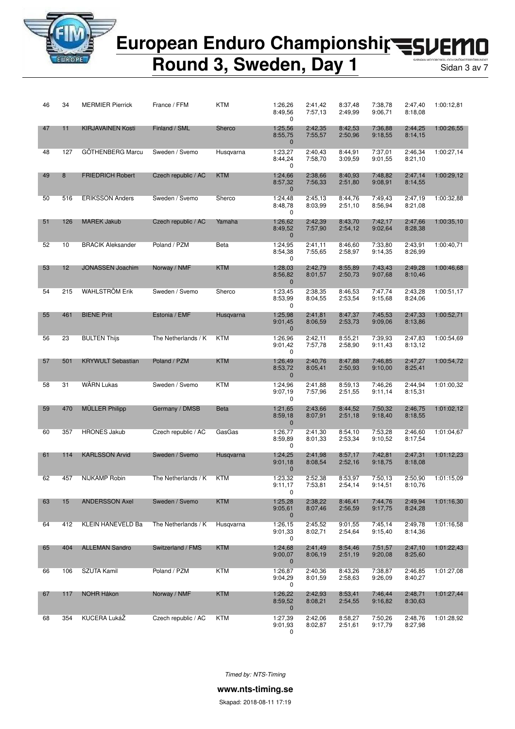

### European Enduro Championshir<br /> **EUROPER** П

**Round 3, Sweden, Day 1** Sidan 3 av 7

| 46 | 34  | <b>MERMIER Pierrick</b>  | France / FFM        | <b>KTM</b>  | 1:26,26<br>8:49,56<br>0            | 2:41,42<br>7:57,13 | 8:37,48<br>2:49,99 | 7:38,78<br>9:06,71 | 2:47,40<br>8:18,08 | 1:00:12,81 |
|----|-----|--------------------------|---------------------|-------------|------------------------------------|--------------------|--------------------|--------------------|--------------------|------------|
| 47 | 11  | <b>KIRJAVAINEN Kosti</b> | Finland / SML       | Sherco      | 1:25,56<br>8:55,75<br>$\mathbf 0$  | 2:42,35<br>7:55,57 | 8:42,53<br>2:50,96 | 7:36.88<br>9:18,55 | 2:44,25<br>8:14,15 | 1:00:26,55 |
| 48 | 127 | GÖTHENBERG Marcu         | Sweden / Svemo      | Husqvarna   | 1:23,27<br>8:44,24<br>0            | 2:40,43<br>7:58,70 | 8:44,91<br>3:09,59 | 7:37,01<br>9:01,55 | 2:46,34<br>8:21,10 | 1:00:27,14 |
| 49 | 8   | <b>FRIEDRICH Robert</b>  | Czech republic / AC | <b>KTM</b>  | 1:24,66<br>8:57,32<br>$\mathbf{0}$ | 2:38,66<br>7:56,33 | 8:40,93<br>2:51,80 | 7:48,82<br>9:08,91 | 2:47,14<br>8:14,55 | 1:00:29,12 |
| 50 | 516 | <b>ERIKSSON Anders</b>   | Sweden / Svemo      | Sherco      | 1:24,48<br>8:48,78<br>0            | 2:45,13<br>8:03,99 | 8:44,76<br>2:51,10 | 7:49,43<br>8:56,94 | 2:47.19<br>8:21,08 | 1:00:32,88 |
| 51 | 126 | <b>MAREK Jakub</b>       | Czech republic / AC | Yamaha      | 1:26,62<br>8:49,52<br>$\mathbf{0}$ | 2:42,39<br>7:57,90 | 8:43,70<br>2:54,12 | 7:42,17<br>9:02,64 | 2:47,66<br>8:28,38 | 1:00:35,10 |
| 52 | 10  | <b>BRACIK Aleksander</b> | Poland / PZM        | Beta        | 1:24,95<br>8:54,38<br>0            | 2:41,11<br>7:55,65 | 8:46,60<br>2:58,97 | 7:33,80<br>9:14,35 | 2:43,91<br>8:26,99 | 1:00:40,71 |
| 53 | 12  | <b>JONASSEN Joachim</b>  | Norway / NMF        | <b>KTM</b>  | 1:28,03<br>8:56,82<br>$\mathbf{0}$ | 2:42,79<br>8:01,57 | 8:55,89<br>2:50,73 | 7:43,43<br>9:07,68 | 2:49,28<br>8:10,46 | 1:00:46,68 |
| 54 | 215 | <b>WAHLSTRÖM Erik</b>    | Sweden / Svemo      | Sherco      | 1:23,45<br>8:53,99<br>0            | 2:38,35<br>8:04,55 | 8:46,53<br>2:53,54 | 7:47,74<br>9:15,68 | 2:43,28<br>8:24,06 | 1:00:51,17 |
| 55 | 461 | <b>BIENE Priit</b>       | Estonia / EMF       | Husqvarna   | 1:25,98<br>9:01,45<br>$\mathbf{0}$ | 2:41,81<br>8:06,59 | 8:47,37<br>2:53,73 | 7:45,53<br>9:09,06 | 2:47,33<br>8:13,86 | 1:00:52,71 |
| 56 | 23  | <b>BULTEN Thijs</b>      | The Netherlands / K | KTM         | 1:26,96<br>9:01,42<br>0            | 2:42,11<br>7:57,78 | 8:55,21<br>2:58,90 | 7:39,93<br>9:11,43 | 2:47,83<br>8:13,12 | 1:00:54,69 |
| 57 | 501 | <b>KRYWULT Sebastian</b> | Poland / PZM        | <b>KTM</b>  | 1:26,49<br>8:53,72<br>$\mathbf{0}$ | 2:40,76<br>8:05,41 | 8:47,88<br>2:50,93 | 7:46,85<br>9:10,00 | 2:47,27<br>8:25,41 | 1:00:54,72 |
| 58 | 31  | <b>WÄRN Lukas</b>        | Sweden / Svemo      | <b>KTM</b>  | 1:24,96<br>9:07,19<br>0            | 2:41,88<br>7:57,96 | 8:59,13<br>2:51,55 | 7:46,26<br>9:11,14 | 2:44,94<br>8:15,31 | 1:01:00,32 |
| 59 | 470 | <b>MULLER Philipp</b>    | Germany / DMSB      | <b>Beta</b> | 1:21,65<br>8:59,18<br>$\mathbf{0}$ | 2:43,66<br>8:07,91 | 8:44,52<br>2:51,18 | 7:50,32<br>9:18,40 | 2:46,75<br>8:18,55 | 1:01:02,12 |
| 60 | 357 | <b>HRONES Jakub</b>      | Czech republic / AC | GasGas      | 1:26,77<br>8:59,89<br>0            | 2:41,30<br>8:01,33 | 8:54,10<br>2:53,34 | 7:53.28<br>9:10,52 | 2:46,60<br>8:17,54 | 1:01:04,67 |
| 61 | 114 | <b>KARLSSON Arvid</b>    | Sweden / Svemo      | Husqvarna   | 1:24,25<br>9:01,18<br>$\mathbf{0}$ | 2:41,98<br>8:08,54 | 8:57,17<br>2:52,16 | 7:42,81<br>9:18,75 | 2:47,31<br>8:18,08 | 1:01:12,23 |
| 62 | 457 | <b>NIJKAMP Robin</b>     | The Netherlands / K | KTM         | 1:23,32<br>9:11,17<br>0            | 2:52,38<br>7:53,81 | 8:53,97<br>2:54,14 | 7:50,13<br>9:14,51 | 2:50,90<br>8:10,76 | 1:01:15,09 |
| 63 | 15  | <b>ANDERSSON Axel</b>    | Sweden / Svemo      | <b>KTM</b>  | 1:25,28<br>9:05,61<br>0            | 2:38,22<br>8:07,46 | 8:46,41<br>2:56,59 | 7:44,76<br>9:17,75 | 2:49,94<br>8:24,28 | 1:01:16,30 |
| 64 | 412 | KLEIN HANEVELD Ba        | The Netherlands / K | Husgvarna   | 1:26,15<br>9:01,33<br>0            | 2:45,52<br>8:02,71 | 9:01,55<br>2:54,64 | 7:45,14<br>9:15,40 | 2:49,78<br>8:14,36 | 1:01:16,58 |
| 65 | 404 | <b>ALLEMAN Sandro</b>    | Switzerland / FMS   | <b>KTM</b>  | 1:24,68<br>9:00,07<br>$\mathbf 0$  | 2:41,49<br>8:06,19 | 8:54,46<br>2:51,19 | 7:51,57<br>9:20,08 | 2:47,10<br>8:25,60 | 1:01:22,43 |
| 66 | 106 | SZUTA Kamil              | Poland / PZM        | <b>KTM</b>  | 1:26,87<br>9:04,29<br>0            | 2:40.36<br>8:01,59 | 8:43,26<br>2:58,63 | 7:38,87<br>9:26,09 | 2:46,85<br>8:40,27 | 1:01:27,08 |
| 67 | 117 | NOHR Håkon               | Norway / NMF        | <b>KTM</b>  | 1:26,22<br>8:59,52<br>$\mathbf 0$  | 2:42,93<br>8:08,21 | 8:53,41<br>2:54,55 | 7:46,44<br>9:16,82 | 2:48,71<br>8:30,63 | 1:01:27,44 |
| 68 | 354 | KUCERA LukáŽ             | Czech republic / AC | <b>KTM</b>  | 1:27,39<br>9:01,93<br>0            | 2:42,06<br>8:02,87 | 8:58,27<br>2:51,61 | 7:50,26<br>9:17,79 | 2:48,76<br>8:27,98 | 1:01:28,92 |

*Timed by: NTS-Timing*

**www.nts-timing.se**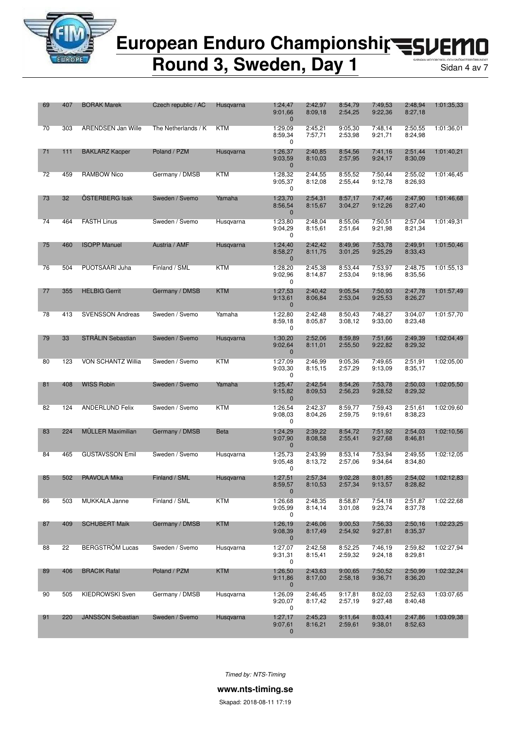

**Round 3, Sweden, Day 1** Sidan 4 av 7

| 69 | 407 | <b>BORAK Marek</b>        | Czech republic / AC | Husqvarna   | 1:24,47<br>9:01,66<br>$\mathbf{0}$ | 2:42,97<br>8:09,18 | 8:54,79<br>2:54,25 | 7:49,53<br>9:22,36 | 2:48,94<br>8:27,18 | 1:01:35,33 |
|----|-----|---------------------------|---------------------|-------------|------------------------------------|--------------------|--------------------|--------------------|--------------------|------------|
| 70 | 303 | <b>ARENDSEN Jan Wille</b> | The Netherlands / K | <b>KTM</b>  | 1:29,09<br>8:59,34<br>0            | 2:45,21<br>7:57,71 | 9:05.30<br>2:53,98 | 7:48.14<br>9:21,71 | 2:50.55<br>8:24,98 | 1:01:36.01 |
| 71 | 111 | <b>BAKLARZ Kacper</b>     | Poland / PZM        | Husqvarna   | 1:26,37<br>9:03,59<br>$\mathbf{0}$ | 2:40,85<br>8:10.03 | 8:54,56<br>2:57,95 | 7:41,16<br>9:24,17 | 2:51,44<br>8:30.09 | 1:01:40,21 |
| 72 | 459 | RAMBOW Nico               | Germany / DMSB      | KTM         | 1:28,32<br>9:05,37<br>0            | 2:44,55<br>8:12,08 | 8:55,52<br>2:55,44 | 7:50,44<br>9:12,78 | 2:55,02<br>8:26,93 | 1:01:46,45 |
| 73 | 32  | ÖSTERBERG Isak            | Sweden / Svemo      | Yamaha      | 1:23.70<br>8:56,54<br>$\mathbf{0}$ | 2:54.31<br>8:15,67 | 8:57,17<br>3:04,27 | 7:47,46<br>9:12,26 | 2:47.90<br>8:27,40 | 1:01:46,68 |
| 74 | 464 | <b>FASTH Linus</b>        | Sweden / Svemo      | Husqvarna   | 1:23,80<br>9:04,29<br>0            | 2:48.04<br>8:15,61 | 8:55,06<br>2:51,64 | 7:50,51<br>9:21,98 | 2:57,04<br>8:21,34 | 1:01:49,31 |
| 75 | 460 | <b>ISOPP Manuel</b>       | Austria / AMF       | Husqvarna   | 1:24,40<br>8:58,27<br>$\mathbf{0}$ | 2:42,42<br>8:11,75 | 8:49,96<br>3:01,25 | 7:53,78<br>9:25,29 | 2:49,91<br>8:33,43 | 1:01:50,46 |
| 76 | 504 | PUOTSAARI Juha            | Finland / SML       | KTM         | 1:28,20<br>9:02,96<br>0            | 2:45,38<br>8:14,87 | 8:53,44<br>2:53,04 | 7:53,97<br>9:18,96 | 2:48,75<br>8:35,56 | 1:01:55,13 |
| 77 | 355 | <b>HELBIG Gerrit</b>      | Germany / DMSB      | <b>KTM</b>  | 1:27,53<br>9:13,61<br>$\mathbf{0}$ | 2:40,42<br>8:06,84 | 9:05,54<br>2:53,04 | 7:50.93<br>9:25,53 | 2:47,78<br>8:26,27 | 1:01:57,49 |
| 78 | 413 | <b>SVENSSON Andreas</b>   | Sweden / Svemo      | Yamaha      | 1:22,80<br>8:59.18<br>0            | 2:42,48<br>8:05,87 | 8:50,43<br>3:08,12 | 7:48,27<br>9:33,00 | 3:04,07<br>8:23,48 | 1:01:57.70 |
| 79 | 33  | STRÅLIN Sebastian         | Sweden / Svemo      | Husgvarna   | 1:30,20<br>9:02,64<br>$\mathbf{0}$ | 2:52,06<br>8:11,01 | 8:59,89<br>2:55,50 | 7:51,66<br>9:22,82 | 2:49,39<br>8:29,32 | 1:02:04,49 |
| 80 | 123 | <b>VON SCHANTZ Willia</b> | Sweden / Svemo      | KTM         | 1:27,09<br>9:03,30<br>0            | 2:46,99<br>8:15,15 | 9:05,36<br>2:57,29 | 7:49.65<br>9:13,09 | 2:51,91<br>8:35,17 | 1:02:05,00 |
| 81 | 408 | <b>WISS Robin</b>         | Sweden / Svemo      | Yamaha      | 1:25,47<br>9:15,82<br>$\mathbf{0}$ | 2:42,54<br>8:09,53 | 8:54,26<br>2:56,23 | 7:53,78<br>9:28,52 | 2:50,03<br>8:29,32 | 1:02:05,50 |
| 82 | 124 | <b>ANDERLUND Felix</b>    | Sweden / Svemo      | <b>KTM</b>  | 1:26,54<br>9:08,03<br>0            | 2:42,37<br>8:04,26 | 8:59,77<br>2:59,75 | 7:59.43<br>9:19,61 | 2:51,61<br>8:38,23 | 1:02:09.60 |
| 83 | 224 | <b>MÜLLER Maximilian</b>  | Germany / DMSB      | <b>Beta</b> | 1:24,29<br>9:07,90<br>$\mathbf{0}$ | 2:39,22<br>8:08,58 | 8:54,72<br>2:55,41 | 7:51,92<br>9:27,68 | 2:54,03<br>8:46,81 | 1:02:10,56 |
| 84 | 465 | <b>GUSTAVSSON Emil</b>    | Sweden / Svemo      | Husqvarna   | 1:25,73<br>9:05,48<br>0            | 2:43,99<br>8:13,72 | 8:53,14<br>2:57,06 | 7:53,94<br>9:34,64 | 2:49.55<br>8:34,80 | 1:02:12,05 |
| 85 | 502 | PAAVOLA Mika              | Finland / SML       | Husqvarna   | 1:27,51<br>8:59,57                 | 2:57.34<br>8:10,53 | 9:02,28<br>2:57,34 | 8:01.85<br>9:13,57 | 2:54,02<br>8:28,82 | 1:02:12.83 |
| 86 | 503 | MUKKALA Janne             | Finland / SML       | KTM         | 1:26,68<br>9:05,99<br>0            | 2:48,35<br>8:14,14 | 8:58,87<br>3:01,08 | 7:54,18<br>9:23,74 | 2:51,87<br>8:37,78 | 1:02:22,68 |
| 87 | 409 | <b>SCHUBERT Maik</b>      | Germany / DMSB      | <b>KTM</b>  | 1:26,19<br>9:08,39<br>$\mathbf 0$  | 2:46,06<br>8:17,49 | 9:00,53<br>2:54,92 | 7:56,33<br>9:27,81 | 2:50,16<br>8:35,37 | 1:02:23,25 |
| 88 | 22  | <b>BERGSTRÖM Lucas</b>    | Sweden / Svemo      | Husgvarna   | 1:27,07<br>9:31,31<br>0            | 2:42,58<br>8:15,41 | 8:52,25<br>2:59,32 | 7:46.19<br>9:24,18 | 2:59,82<br>8:29,81 | 1:02:27,94 |
| 89 | 406 | <b>BRACIK Rafal</b>       | Poland / PZM        | <b>KTM</b>  | 1:26,50<br>9:11,86<br>$\mathbf 0$  | 2:43,63<br>8:17,00 | 9:00,65<br>2:58,18 | 7:50,52<br>9:36,71 | 2:50,99<br>8:36,20 | 1:02:32,24 |
| 90 | 505 | KIEDROWSKI Sven           | Germany / DMSB      | Husqvarna   | 1:26,09<br>9:20,07<br>0            | 2:46,45<br>8:17,42 | 9:17,81<br>2:57,19 | 8:02,03<br>9:27,48 | 2:52,63<br>8:40,48 | 1:03:07,65 |
| 91 | 220 | <b>JANSSON Sebastian</b>  | Sweden / Svemo      | Husqvarna   | 1:27,17<br>9:07,61<br>$\mathbf{0}$ | 2:45,23<br>8:16,21 | 9:11,64<br>2:59,61 | 8:03,41<br>9:38,01 | 2:47,86<br>8:52,63 | 1:03:09,38 |

*Timed by: NTS-Timing*

**www.nts-timing.se**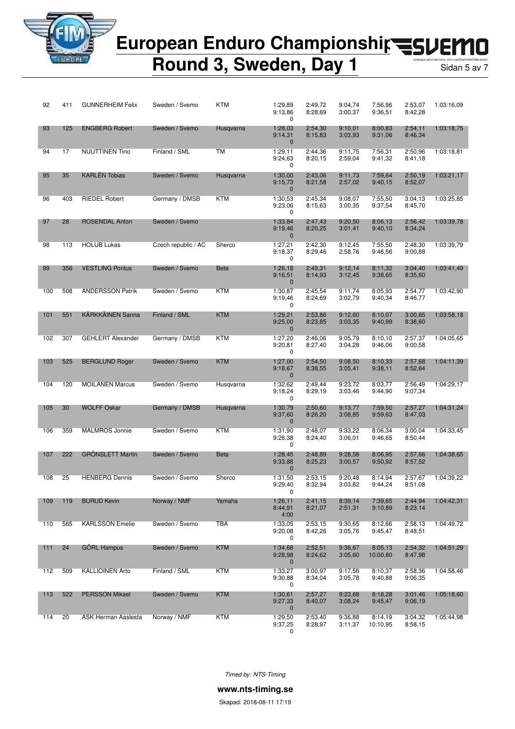

### European Enduro Championshir<br /> **EUROPED** П

**Round 3, Sweden, Day 1** Sidan 5 av 7

| 92  | 411 | <b>GUNNERHEIM Felix</b>  | Sweden / Svemo      | <b>KTM</b>  | 1:29,89<br>9:13,86<br>0            | 2:49,72<br>8:28.69 | 9:04,74<br>3:00,37 | 7:56.96<br>9:36,51  | 2:53,07<br>8:42,28 | 1:03:16,09 |
|-----|-----|--------------------------|---------------------|-------------|------------------------------------|--------------------|--------------------|---------------------|--------------------|------------|
| 93  | 125 | <b>ENGBERG Robert</b>    | Sweden / Svemo      | Husqvarna   | 1:28,03<br>9:14,31<br>$\mathbf{0}$ | 2:54,30<br>8:15,83 | 9:10,01<br>3:03,93 | 8:00.83<br>9:31,06  | 2:54,11<br>8:46,34 | 1:03:18,75 |
| 94  | 17  | <b>NUUTTINEN Tino</b>    | Finland / SML       | <b>TM</b>   | 1:29,11<br>9:24,63<br>0            | 2:44,36<br>8:20,15 | 9:11,75<br>2:59,04 | 7:56,31<br>9:41,32  | 2:50,96<br>8:41,18 | 1:03:18.81 |
| 95  | 35  | <b>KARLÉN Tobias</b>     | Sweden / Svemo      | Husqvarna   | 1:30,00<br>9:15,73<br>$\mathbf{0}$ | 2:43,06<br>8:21,58 | 9:11,73<br>2:57,02 | 7:59,64<br>9:40,15  | 2:50,19<br>8:52,07 | 1:03:21,17 |
| 96  | 403 | <b>RIEDEL Robert</b>     | Germany / DMSB      | <b>KTM</b>  | 1:30,53<br>9:23,06<br>0            | 2:45,34<br>8:15,63 | 9:08,07<br>3:00,35 | 7:55,50<br>9:37,54  | 3:04,13<br>8:45,70 | 1:03:25,85 |
| 97  | 28  | <b>ROSENDAL Anton</b>    | Sweden / Svemo      |             | 1:33,84<br>9:19,46<br>$\mathbf{0}$ | 2:47,43<br>8:20,25 | 9:20.50<br>3:01,41 | 8:06,13<br>9:40,10  | 2:56,42<br>8:34,24 | 1:03:39,78 |
| 98  | 113 | <b>HOLUB Lukas</b>       | Czech republic / AC | Sherco      | 1:27,21<br>9:18,37<br>0            | 2:42,30<br>8:29,46 | 9:12,45<br>2:58,76 | 7:55.50<br>9:46,56  | 2:48,30<br>9:00,88 | 1:03:39,79 |
| 99  | 356 | <b>VESTLING Pontus</b>   | Sweden / Svemo      | <b>Beta</b> | 1:26,18<br>9:16,51<br>$\mathbf{0}$ | 2:49,31<br>8:14,93 | 9:12,14<br>3:12,45 | 8:11,32<br>9:38,65  | 3:04,40<br>8:35,60 | 1:03:41,49 |
| 100 | 508 | <b>ANDERSSON Patrik</b>  | Sweden / Svemo      | <b>KTM</b>  | 1:30,87<br>9:19,46<br>0            | 2:45.54<br>8:24,69 | 9:11.74<br>3:02,79 | 8:05,93<br>9:40,34  | 2:54,77<br>8:46,77 | 1:03:42,90 |
| 101 | 551 | <b>KÄRKKÄINEN Sanna</b>  | Finland / SML       | <b>KTM</b>  | 1:29,21<br>9:25,00<br>$\mathbf{0}$ | 2:53,86<br>8:23,85 | 9:12,60<br>3:03,35 | 8:10,07<br>9:40,99  | 3:00,65<br>8:38,60 | 1:03:58,18 |
| 102 | 307 | <b>GEHLERT Alexander</b> | Germany / DMSB      | <b>KTM</b>  | 1:27,20<br>9:20,81<br>0            | 2:46,06<br>8:27,40 | 9:05.79<br>3:04,28 | 8:10.10<br>9:46,06  | 2:57,37<br>9:00,58 | 1:04:05.65 |
| 103 | 525 | <b>BERGLUND Roger</b>    | Sweden / Svemo      | <b>KTM</b>  | 1:27,00<br>9:18,67<br>$\mathbf{0}$ | 2:54,50<br>8:38,55 | 9:08,50<br>3:05,41 | 8:10,33<br>9:38,11  | 2:57,68<br>8:52,64 | 1:04:11,39 |
| 104 | 120 | <b>MOILANEN Marcus</b>   | Sweden / Svemo      | Husqvarna   | 1:32,62<br>9:18,24<br>0            | 2:49,44<br>8:29,19 | 9:23,72<br>3:03,46 | 8:03,77<br>9:44,90  | 2:56,49<br>9:07,34 | 1:04:29,17 |
| 105 | 30  | <b>WOLFF Oskar</b>       | Germany / DMSB      | Husqvarna   | 1:30,79<br>9:37,60<br>$\mathbf{0}$ | 2:50,60<br>8:26,20 | 9:13,77<br>3:08,85 | 7:59,50<br>9:59,63  | 2:57,27<br>8:47,03 | 1:04:31,24 |
| 106 | 359 | MALMROS Jonnie           | Sweden / Svemo      | <b>KTM</b>  | 1:31,90<br>9:26,38<br>0            | 2:48,07<br>8:24,40 | 9:33,22<br>3:06,01 | 8:06,34<br>9:46,65  | 3:00,04<br>8:50,44 | 1:04:33,45 |
| 107 | 222 | <b>GRÖNSLETT Martin</b>  | Sweden / Svemo      | <b>Beta</b> | 1:28,45<br>9:33,88<br>$\mathbf{0}$ | 2:48,89<br>8:25,23 | 9:28,58<br>3:00,57 | 8:06,95<br>9:50,92  | 2:57,66<br>8:57,52 | 1:04:38,65 |
| 108 | 25  | <b>HENBERG Dennis</b>    | Sweden / Svemo      | Sherco      | 1:31,50<br>9:29.40<br>0            | 2:53,15<br>8:32,94 | 9:20,48<br>3:03.82 | 8:14,94<br>9:44.24  | 2:57,67<br>8:51,08 | 1:04:39,22 |
| 109 | 119 | <b>BURUD Kevin</b>       | Norway / NMF        | Yamaha      | 1:26,11<br>8:44,91<br>4:00         | 2:41,15<br>8:21,07 | 8:39,14<br>2:51,31 | 7:39,65<br>9:10,89  | 2:44,94<br>8:23,14 | 1:04:42,31 |
| 110 | 565 | <b>KARLSSON Emelie</b>   | Sweden / Svemo      | <b>TBA</b>  | 1:33,05<br>9:20,08<br>0            | 2:53,15<br>8:42,26 | 9:30.65<br>3:05,76 | 8:12,66<br>9:45,47  | 2:58,13<br>8:48,51 | 1:04:49,72 |
| 111 | 24  | <b>GÖRL Hampus</b>       | Sweden / Svemo      | <b>KTM</b>  | 1:34,68<br>9:28,98<br>$\mathbf{0}$ | 2:52,51<br>8:24,62 | 9:36,67<br>3:05,60 | 8:05,13<br>10:00,80 | 2:54,32<br>8:47,98 | 1:04:51,29 |
| 112 | 509 | <b>KALLIOINEN Arto</b>   | Finland / SML       | KTM         | 1:33,27<br>9:30.88<br>0            | 3:00,97<br>8:34,04 | 9:17,56<br>3:05,78 | 8:10,37<br>9:40,88  | 2:58,36<br>9:06,35 | 1:04:58,46 |
| 113 | 522 | <b>PERSSON Mikael</b>    | Sweden / Svemo      | KTM         | 1:30,61<br>9:27,33<br>$\mathbf 0$  | 2:57,27<br>8:40,07 | 9:23,68<br>3:08,24 | 8:18,28<br>9:45,47  | 3:01,46<br>9:06,19 | 1:05:18,60 |
| 114 | 20  | ASK Herman Aaslesta      | Norway / NMF        | KTM         | 1:29,50<br>9:37,25<br>0            | 2:53,40<br>8:28,97 | 9:36,88<br>3:11,37 | 8:14,19<br>10:10,95 | 3:04,32<br>8:58,15 | 1:05:44,98 |

*Timed by: NTS-Timing*

**www.nts-timing.se**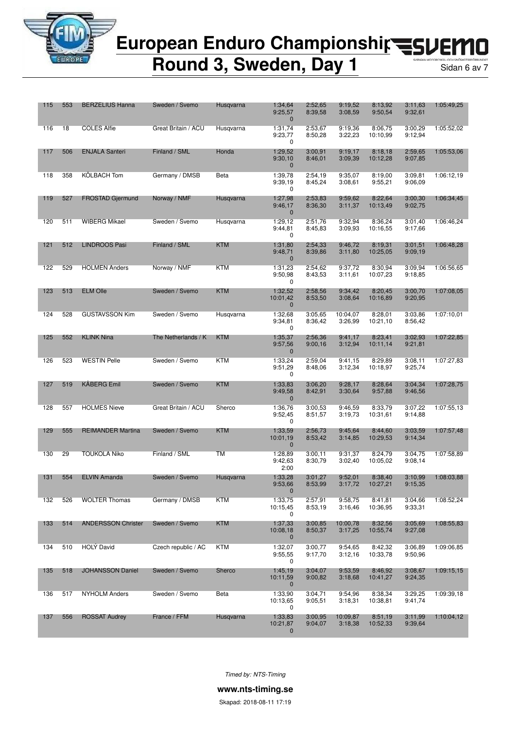

**Round 3, Sweden, Day 1** Sidan 6 av 7

| 115 | 553 | <b>BERZELIUS Hanna</b>    | Sweden / Svemo      | Husqvarna  | 1:34,64<br>9:25,57<br>$\mathbf 0$   | 2:52,65<br>8:39,58 | 9:19,52<br>3:08,59  | 8:13,92<br>9:50,54  | 3:11,63<br>9:32,61 | 1:05:49,25 |
|-----|-----|---------------------------|---------------------|------------|-------------------------------------|--------------------|---------------------|---------------------|--------------------|------------|
| 116 | 18  | <b>COLES Alfie</b>        | Great Britain / ACU | Husqvarna  | 1:31,74<br>9:23,77<br>0             | 2:53,67<br>8:50,28 | 9:19.36<br>3:22,23  | 8:06,75<br>10:10,99 | 3:00.29<br>9:12,94 | 1:05:52,02 |
| 117 | 506 | <b>ENJALA Santeri</b>     | Finland / SML       | Honda      | 1:29,52<br>9:30,10<br>$\mathbf 0$   | 3:00.91<br>8:46,01 | 9:19,17<br>3:09,39  | 8:18,18<br>10:12,28 | 2:59.65<br>9:07,85 | 1:05:53,06 |
| 118 | 358 | KÖLBACH Tom               | Germany / DMSB      | Beta       | 1:39,78<br>9:39,19<br>0             | 2:54,19<br>8:45,24 | 9:35,07<br>3:08,61  | 8:19,00<br>9:55,21  | 3:09,81<br>9:06,09 | 1:06:12,19 |
| 119 | 527 | <b>FROSTAD Gjermund</b>   | Norway / NMF        | Husqvarna  | 1:27,98<br>9:46,17<br>$\mathbf 0$   | 2:53,83<br>8:36,30 | 9:59.62<br>3:11,37  | 8:22,64<br>10:13,49 | 3:00.30<br>9:02,75 | 1:06:34,45 |
| 120 | 511 | <b>WIBERG Mikael</b>      | Sweden / Svemo      | Husqvarna  | 1:29,12<br>9:44,81<br>0             | 2:51,76<br>8:45,83 | 9:32,94<br>3:09,93  | 8:36,24<br>10:16,55 | 3:01.40<br>9:17,66 | 1:06:46,24 |
| 121 | 512 | <b>LINDROOS Pasi</b>      | Finland / SML       | <b>KTM</b> | 1:31,80<br>9:48,71<br>$\mathbf 0$   | 2:54,33<br>8:39,86 | 9:46,72<br>3:11,80  | 8:19,31<br>10:25,05 | 3:01,51<br>9:09.19 | 1:06:48.28 |
| 122 | 529 | <b>HOLMEN Anders</b>      | Norway / NMF        | KTM        | 1:31,23<br>9:50,98<br>0             | 2:54,62<br>8:43,53 | 9:37,72<br>3:11,61  | 8:30,94<br>10:07,23 | 3:09,94<br>9:18,85 | 1:06:56,65 |
| 123 | 513 | <b>ELM Olle</b>           | Sweden / Svemo      | <b>KTM</b> | 1:32,52<br>10:01.42<br>$\mathbf 0$  | 2:58,56<br>8:53,50 | 9:34,42<br>3:08,64  | 8:20,45<br>10:16,89 | 3:00,70<br>9:20,95 | 1:07:08,05 |
| 124 | 528 | <b>GUSTAVSSON Kim</b>     | Sweden / Svemo      | Husqvarna  | 1:32,68<br>9:34,81<br>0             | 3:05,65<br>8:36,42 | 10:04,07<br>3:26,99 | 8:28,01<br>10:21,10 | 3:03,86<br>8:56,42 | 1:07:10,01 |
| 125 | 552 | <b>KLINK Nina</b>         | The Netherlands / K | <b>KTM</b> | 1:35,37<br>9:57,56<br>$\mathbf{0}$  | 2:56,36<br>9:00,16 | 9:41,17<br>3:12,94  | 8:23,41<br>10:11,14 | 3:02,93<br>9:21,81 | 1:07:22,85 |
| 126 | 523 | <b>WESTIN Pelle</b>       | Sweden / Svemo      | KTM        | 1:33,24<br>9:51,29<br>0             | 2:59,04<br>8:48,06 | 9:41,15<br>3:12,34  | 8:29.89<br>10:18,97 | 3:08,11<br>9:25,74 | 1:07:27,83 |
| 127 | 519 | <b>KÅBERG Emil</b>        | Sweden / Svemo      | <b>KTM</b> | 1:33,83<br>9:49,58<br>$\mathbf 0$   | 3:06,20<br>8:42,91 | 9:28,17<br>3:30,64  | 8:28,64<br>9:57,88  | 3:04,34<br>9:46,56 | 1:07:28,75 |
| 128 | 557 | <b>HOLMES Nieve</b>       | Great Britain / ACU | Sherco     | 1:36,76<br>9:52,45<br>0             | 3:00.53<br>8:51,57 | 9:46.59<br>3:19,73  | 8:33,79<br>10:31,61 | 3:07,22<br>9:14,88 | 1:07:55,13 |
| 129 | 555 | <b>REIMANDER Martina</b>  | Sweden / Svemo      | <b>KTM</b> | 1:33,59<br>10:01,19<br>$\mathbf{0}$ | 2:56,73<br>8:53,42 | 9:45,64<br>3:14,85  | 8:44,60<br>10:29,53 | 3:03,59<br>9:14,34 | 1:07:57,48 |
| 130 | 29  | <b>TOUKOLA Niko</b>       | Finland / SML       | ТM         | 1:28,89<br>9:42,63<br>2:00          | 3:00,11<br>8:30,79 | 9:31,37<br>3:02,40  | 8:24,79<br>10:05.02 | 3:04.75<br>9:08,14 | 1:07:58,89 |
| 131 | 554 | <b>ELVIN Amanda</b>       | Sweden / Svemo      | Husqvarna  | 1:33,28<br>9:53,66                  | 3:01,27<br>8:53,99 | 9:52,01<br>3:17,72  | 8:38,40<br>10:27,21 | 3:10.99<br>9:15,35 | 1:08:03,88 |
| 132 | 526 | <b>WOLTER Thomas</b>      | Germany / DMSB      | KTM        | 1:33,75<br>10:15,45<br>0            | 2:57,91<br>8:53.19 | 9:58,75<br>3:16,46  | 8:41,81<br>10:36,95 | 3:04,66<br>9:33,31 | 1:08:52,24 |
| 133 | 514 | <b>ANDERSSON Christer</b> | Sweden / Svemo      | KTM        | 1:37,33<br>10:08,18<br>$\bf{0}$     | 3:00,85<br>8:50,37 | 10:00,78<br>3:17,25 | 8:32,56<br>10:55,74 | 3:05,69<br>9:27,08 | 1:08:55,83 |
| 134 | 510 | HOLY David                | Czech republic / AC | <b>KTM</b> | 1:32,07<br>9:55,55<br>0             | 3:00,77<br>9:17,70 | 9:54,65<br>3:12,16  | 8:42,32<br>10:33,78 | 3:06,89<br>9:50,96 | 1:09:06,85 |
| 135 | 518 | <b>JOHANSSON Daniel</b>   | Sweden / Svemo      | Sherco     | 1:45,19<br>10:11,59<br>$\mathbf 0$  | 3:04,07<br>9:00,82 | 9:53,59<br>3:18,68  | 8:46,92<br>10:41,27 | 3:08,67<br>9:24,35 | 1:09:15,15 |
| 136 | 517 | <b>NYHOLM Anders</b>      | Sweden / Svemo      | Beta       | 1:33,90<br>10:13,65<br>0            | 3:04,71<br>9:05,51 | 9:54,96<br>3:18,31  | 8:38,34<br>10:38,81 | 3:29,25<br>9:41,74 | 1:09:39.18 |
| 137 | 556 | <b>ROSSAT Audrey</b>      | France / FFM        | Husqvarna  | 1:33,83<br>10:21,87<br>$\mathbf 0$  | 3:00,95<br>9:04,07 | 10:09,87<br>3:18,38 | 8:51,19<br>10:52,33 | 3:11,99<br>9:39,64 | 1:10:04,12 |

*Timed by: NTS-Timing*

**www.nts-timing.se**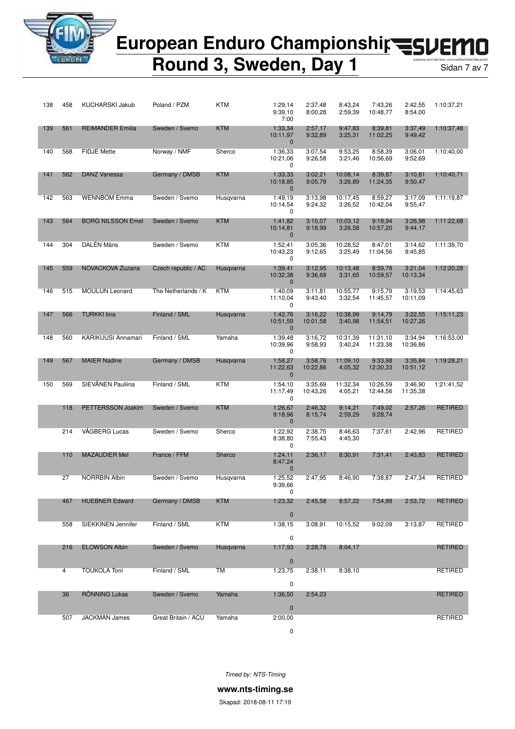

### **Round 3, Sweden, Day 1** Sidan 7 av 7

| 138 | 458 | <b>KUCHARSKI Jakub</b>   | Poland / PZM        | <b>KTM</b> | 1:29,14<br>9:39,10<br>7:00          | 2:37,48<br>8:00.28  | 8:43,24<br>2:59,39  | 7:43,26<br>10:48,77  | 2:42,55<br>8:54,00  | 1:10:37,21     |
|-----|-----|--------------------------|---------------------|------------|-------------------------------------|---------------------|---------------------|----------------------|---------------------|----------------|
| 139 | 561 | <b>REIMANDER Emilia</b>  | Sweden / Svemo      | <b>KTM</b> | 1:33,34<br>10:11,97<br>$\mathbf{0}$ | 2:57,17<br>9:32,89  | 9:47,83<br>3:25,31  | 8:39,81<br>11:02,25  | 3:37,49<br>9:49,42  | 1:10:37,48     |
| 140 | 568 | <b>FIDJE Mette</b>       | Norway / NMF        | Sherco     | 1:36,33<br>10:21,06<br>0            | 3:07,54<br>9:26,58  | 9:53,25<br>3:21,46  | 8:58,39<br>10:56,69  | 3:06,01<br>9:52,69  | 1:10:40,00     |
| 141 | 562 | <b>DANZ Vanessa</b>      | Germany / DMSB      | <b>KTM</b> | 1:33,33<br>10:18,85<br>$\mathbf{0}$ | 3:02,21<br>9:05,79  | 10:08,14<br>3:26,89 | 8:39,87<br>11:24,35  | 3:10,81<br>9:50,47  | 1:10:40,71     |
| 142 | 563 | <b>WENNBOM Emma</b>      | Sweden / Svemo      | Husgvarna  | 1:49,19<br>10:14,54<br>0            | 3:13,98<br>9:24,32  | 10:17,45<br>3:26,52 | 8:59,27<br>10:42,04  | 3:17,09<br>9:55,47  | 1:11:19,87     |
| 143 | 564 | <b>BORG NILSSON Emel</b> | Sweden / Svemo      | <b>KTM</b> | 1:41,82<br>10:14,81<br>$\mathbf{0}$ | 3:10,07<br>9:18,99  | 10:03,12<br>3:26,58 | 9:18,94<br>10:57,20  | 3:26.98<br>9:44,17  | 1:11:22,68     |
| 144 | 304 | DALÉN Måns               | Sweden / Svemo      | <b>KTM</b> | 1:52,41<br>10:43,23<br>0            | 3:05,36<br>9:12,65  | 10:28,52<br>3:25,49 | 8:47,01<br>11:04,56  | 3:14,62<br>9:45,85  | 1:11:39,70     |
| 145 | 559 | NOVACKOVA Zuzana         | Czech republic / AC | Husqvarna  | 1:39,41<br>10:32,38<br>$\mathbf{0}$ | 3:12,95<br>9:36,68  | 10:13,48<br>3:31,65 | 8:59,78<br>10:59,57  | 3:21,04<br>10:13,34 | 1:12:20,28     |
| 146 | 515 | <b>MOULIJN Leonard</b>   | The Netherlands / K | KTM        | 1:40,09<br>11:10,04<br>0            | 3:11,81<br>9:43,40  | 10:55,77<br>3:32,54 | 9:15.79<br>11:45,57  | 3:19.53<br>10:11.09 | 1:14:45,63     |
| 147 | 566 | <b>TURKKI lina</b>       | Finland / SML       | Husqvarna  | 1:42,76<br>10:51,59<br>$\mathbf{0}$ | 3:16,22<br>10:01,58 | 10:38,99<br>3:40,98 | 9:14.79<br>11:54,51  | 3:22,55<br>10:27,26 | 1:15:11,23     |
| 148 | 560 | KARIKUUSI Annamari       | Finland / SML       | Yamaha     | 1:39,48<br>10:39,96<br>0            | 3:16.72<br>9:58,93  | 10:31,39<br>3:40,24 | 11:31,10<br>11:23,38 | 3:34,94<br>10:36,86 | 1:16:53,00     |
| 149 | 567 | <b>MAIER Nadine</b>      | Germany / DMSB      | Husqvarna  | 1:58,27<br>11:22,63<br>$\mathbf{0}$ | 3:58,76<br>10:22,86 | 11:09,10<br>4:05,32 | 9:33,98<br>12:30,33  | 3:35,84<br>10:51,12 | 1:19:28,21     |
| 150 | 569 | SIEVÄNEN Pauliina        | Finland / SML       | <b>KTM</b> | 1:54,10<br>11:17,49<br>0            | 3:35,69<br>10:43,26 | 11:32,34<br>4:05,21 | 10:26,59<br>12:44,56 | 3:46,90<br>11:35,38 | 1:21:41,52     |
|     | 118 | PETTERSSON Joakim        | Sweden / Svemo      | <b>KTM</b> | 1:26,67<br>9:18,96<br>$\mathbf{0}$  | 2:46,32<br>8:15,74  | 9:14,21<br>2:59,29  | 7:49,02<br>9:28,74   | 2:57,26             | RETIRED        |
|     | 214 | VÅGBERG Lucas            | Sweden / Svemo      | Sherco     | 1:22,92<br>8:38,80<br>0             | 2:38,75<br>7:55,43  | 8:46,63<br>4:45,30  | 7:37,61              | 2:42,96             | <b>RETIRED</b> |
|     | 110 | <b>MAZAUDIER Mel</b>     | France / FFM        | Sherco     | 1:24,11<br>8:47,24<br>$\mathbf 0$   | 2:36,17             | 8:30,91             | 7:31,41              | 2:43,83             | <b>RETIRED</b> |
|     | 27  | <b>NORRBIN Albin</b>     | Sweden / Svemo      | Husqvarna  | 1:25,52<br>9:39,66<br>0             | 2:47,95             | 8:46,90             | 7:38.87              | 2:47,34             | RETIRED        |
|     | 467 | <b>HUEBNER Edward</b>    | Germany / DMSB      | <b>KTM</b> | 1:23,32<br>$\mathbf{0}$             | 2:45,58             | 8:57,22             | 7:54,88              | 2:53,72             | RETIRED        |
|     | 558 | SIEKKINEN Jennifer       | Finland / SML       | <b>KTM</b> | 1:38,15<br>0                        | 3:08,91             | 10:15,52            | 9:02,09              | 3:13,87             | RETIRED        |
|     | 216 | <b>ELOWSON Albin</b>     | Sweden / Svemo      | Husqvarna  | 1:17,93<br>$\mathbf 0$              | 2:28,78             | 8:04,17             |                      |                     | RETIRED        |
|     | 4   | <b>TOUKOLA Toni</b>      | Finland / SML       | TM         | 1:23,75<br>0                        | 2:38,11             | 8:38,10             |                      |                     | <b>RETIRED</b> |
|     | 36  | <b>RONNING Lukas</b>     | Sweden / Svemo      | Yamaha     | 1:36,50<br>$\pmb{0}$                | 2:54,23             |                     |                      |                     | RETIRED        |
|     | 507 | <b>JACKMAN James</b>     | Great Britain / ACU | Yamaha     | 2:00,00<br>$\mathbf 0$              |                     |                     |                      |                     | RETIRED        |

*Timed by: NTS-Timing*

**www.nts-timing.se**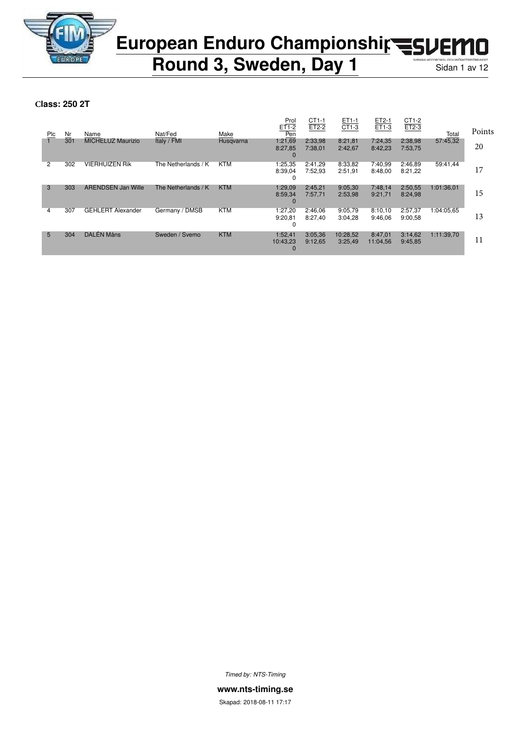

**Round 3, Sweden, Day 1** Sidan 1 av 12

**Class: 250 2T**

|     |     |                           |                     |            | Prol<br>$ET1-2$                | CT1-1<br>$ET2-2$   | ET1-1<br>CT1-3      | ET2-1<br>ET1-3      | CT1-2<br>$ET2-3$   |            |        |
|-----|-----|---------------------------|---------------------|------------|--------------------------------|--------------------|---------------------|---------------------|--------------------|------------|--------|
| Plc | Nr  | Name                      | Nat/Fed             | Make       | Pen                            |                    |                     |                     |                    | Total      | Points |
|     | 301 | <b>MICHELUZ Maurizio</b>  | Italy / FMI         | Husgvarna  | 1:21,69<br>8:27,85             | 2:33,98<br>7:38,01 | 8:21.81<br>2:42,67  | 7:24.35<br>8:42,23  | 2:38,98<br>7:53,75 | 57:45.32   | 20     |
|     |     |                           |                     |            | $\Omega$                       |                    |                     |                     |                    |            |        |
| 2   | 302 | <b>VIERHUIZEN Rik</b>     | The Netherlands / K | <b>KTM</b> | 1:25,35<br>8:39,04<br>0        | 2:41.29<br>7:52.93 | 8:33,82<br>2:51.91  | 7:40,99<br>8:48.00  | 2:46,89<br>8:21.22 | 59:41.44   | 17     |
| 3   | 303 | <b>ARENDSEN Jan Wille</b> | The Netherlands / K | <b>KTM</b> | 1:29.09<br>8:59,34<br>$\Omega$ | 2:45,21<br>7:57.71 | 9:05.30<br>2:53,98  | 7:48,14<br>9:21.71  | 2:50,55<br>8:24.98 | 1:01:36.01 | 15     |
| 4   | 307 | <b>GEHLERT Alexander</b>  | Germany / DMSB      | <b>KTM</b> | 1:27.20<br>9:20,81<br>0        | 2:46.06<br>8:27.40 | 9:05,79<br>3:04,28  | 8:10,10<br>9:46.06  | 2:57,37<br>9:00.58 | 1:04:05.65 | 13     |
| 5   | 304 | DALÉN Måns                | Sweden / Svemo      | <b>KTM</b> | 1:52.41<br>10:43,23            | 3:05,36<br>9:12,65 | 10:28,52<br>3:25,49 | 8:47,01<br>11:04,56 | 3:14,62<br>9:45,85 | 1:11:39,70 | 11     |

*Timed by: NTS-Timing*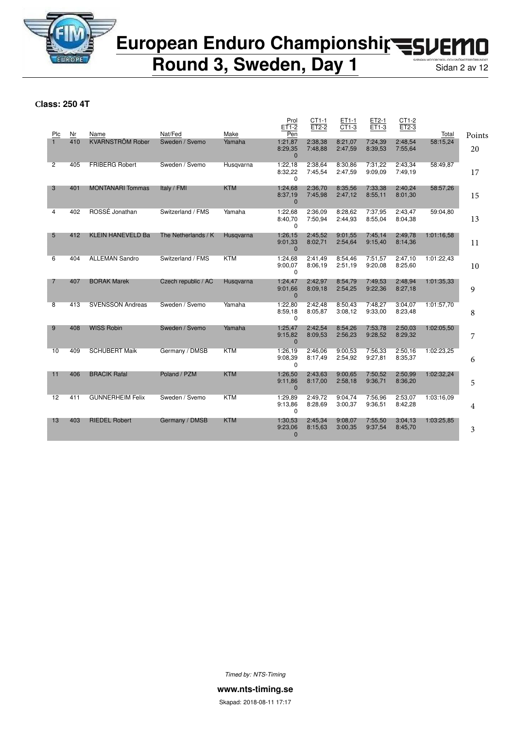

**Round 3, Sweden, Day 1** Sidan 2 av 12

**Class: 250 4T**

| Plc            | Nr  | Name                     | Nat/Fed             | Make       | Prol<br>ET1-2<br>Pen               | CT1-1<br>$ET2-2$   | ET1-1<br>CT1-3     | ET2-1<br>ET1-3     | CT1-2<br>ET2-3     | Total      | Points |
|----------------|-----|--------------------------|---------------------|------------|------------------------------------|--------------------|--------------------|--------------------|--------------------|------------|--------|
| $\mathbf{1}$   | 410 | <b>KVARNSTRÖM Rober</b>  | Sweden / Svemo      | Yamaha     | 1:21,87<br>8:29,35<br>$\mathbf{0}$ | 2:38,38<br>7:48,88 | 8:21,07<br>2:47,59 | 7:24,39<br>8:39,53 | 2:48,54<br>7:55,64 | 58:15,24   | 20     |
| $\overline{2}$ | 405 | <b>FRIBERG Robert</b>    | Sweden / Svemo      | Husgvarna  | 1:22.18<br>8:32,22<br>$\Omega$     | 2:38.64<br>7:45,54 | 8:30.86<br>2:47,59 | 7:31.22<br>9:09.09 | 2:43.34<br>7:49.19 | 58:49.87   | 17     |
| 3              | 401 | <b>MONTANARI Tommas</b>  | Italy / FMI         | <b>KTM</b> | 1:24,68<br>8:37,19<br>$\mathbf{0}$ | 2:36.70<br>7:45,98 | 8:35.56<br>2:47,12 | 7:33,38<br>8:55,11 | 2:40.24<br>8:01,30 | 58:57,26   | 15     |
| 4              | 402 | ROSSÉ Jonathan           | Switzerland / FMS   | Yamaha     | 1:22.68<br>8:40,70<br>$\Omega$     | 2:36.09<br>7:50,94 | 8:28.62<br>2:44,93 | 7:37.95<br>8:55,04 | 2:43.47<br>8:04.38 | 59:04.80   | 13     |
| 5              | 412 | <b>KLEIN HANEVELD Ba</b> | The Netherlands / K | Husqvarna  | 1:26,15<br>9:01,33<br>$\Omega$     | 2:45.52<br>8:02,71 | 9:01.55<br>2:54,64 | 7:45.14<br>9:15,40 | 2:49.78<br>8:14,36 | 1:01:16.58 | 11     |
| 6              | 404 | <b>ALLEMAN Sandro</b>    | Switzerland / FMS   | <b>KTM</b> | 1:24,68<br>9:00.07<br>0            | 2:41,49<br>8:06.19 | 8:54,46<br>2:51,19 | 7:51,57<br>9:20,08 | 2:47,10<br>8:25,60 | 1:01:22,43 | 10     |
| 7              | 407 | <b>BORAK Marek</b>       | Czech republic / AC | Husgvarna  | 1:24,47<br>9:01,66<br>$\Omega$     | 2:42.97<br>8:09.18 | 8:54.79<br>2:54,25 | 7:49.53<br>9:22,36 | 2:48.94<br>8:27,18 | 1:01:35.33 | 9      |
| 8              | 413 | <b>SVENSSON Andreas</b>  | Sweden / Svemo      | Yamaha     | 1:22,80<br>8:59,18<br>$\Omega$     | 2:42.48<br>8:05,87 | 8:50.43<br>3:08.12 | 7:48,27<br>9:33,00 | 3:04,07<br>8:23,48 | 1:01:57.70 | 8      |
| 9              | 408 | <b>WISS Robin</b>        | Sweden / Svemo      | Yamaha     | 1:25,47<br>9:15,82<br>$\mathbf{0}$ | 2:42,54<br>8:09,53 | 8:54,26<br>2:56,23 | 7:53,78<br>9:28,52 | 2:50,03<br>8:29,32 | 1:02:05,50 | 7      |
| 10             | 409 | <b>SCHUBERT Maik</b>     | Germany / DMSB      | <b>KTM</b> | 1:26,19<br>9:08,39<br>$\Omega$     | 2:46,06<br>8:17,49 | 9:00,53<br>2:54,92 | 7:56,33<br>9:27,81 | 2:50,16<br>8:35,37 | 1:02:23,25 | 6      |
| 11             | 406 | <b>BRACIK Rafal</b>      | Poland / PZM        | <b>KTM</b> | 1:26,50<br>9:11,86<br>$\Omega$     | 2:43.63<br>8:17,00 | 9:00.65<br>2:58,18 | 7:50.52<br>9:36,71 | 2:50,99<br>8:36,20 | 1:02:32,24 | 5      |
| 12             | 411 | <b>GUNNERHEIM Felix</b>  | Sweden / Svemo      | <b>KTM</b> | 1:29,89<br>9:13.86<br>$\Omega$     | 2:49,72<br>8:28,69 | 9:04,74<br>3:00,37 | 7:56,96<br>9:36,51 | 2:53,07<br>8:42,28 | 1:03:16.09 | 4      |
| 13             | 403 | <b>RIEDEL Robert</b>     | Germany / DMSB      | <b>KTM</b> | 1:30,53<br>9:23,06<br>$\mathbf{0}$ | 2:45,34<br>8:15,63 | 9:08.07<br>3:00,35 | 7:55,50<br>9:37,54 | 3:04,13<br>8:45,70 | 1:03:25,85 | 3      |

*Timed by: NTS-Timing*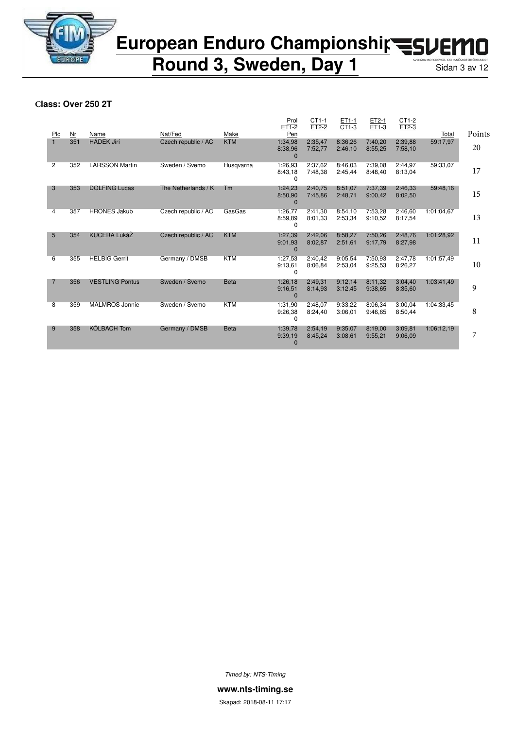

**Round 3, Sweden, Day 1** Sidan 3 av 12

**Class: Over 250 2T**

|     |     |                        |                     |             | Prol<br>ET1-2                  | $CT1-1$<br>ET2-2   | ET1-1<br>CT1-3     | ET2-1<br>ET1-3     | CT1-2<br>ET2-3     |            |        |
|-----|-----|------------------------|---------------------|-------------|--------------------------------|--------------------|--------------------|--------------------|--------------------|------------|--------|
| Plc | Nr  | Name                   | Nat/Fed             | Make        | Pen                            |                    |                    |                    |                    | Total      | Points |
|     | 351 | <b>HÁDEK Jirí</b>      | Czech republic / AC | <b>KTM</b>  | 1:34,98<br>8:38,96             | 2:35,47<br>7:52.77 | 8:36,26<br>2:46.10 | 7:40.20<br>8:55.25 | 2:39.88<br>7:58.10 | 59:17,97   | 20     |
|     |     |                        |                     |             | $\Omega$                       |                    |                    |                    |                    |            |        |
| 2   | 352 | <b>LARSSON Martin</b>  | Sweden / Svemo      | Husgvarna   | 1:26,93<br>8:43,18<br>$\Omega$ | 2:37.62<br>7:48.38 | 8:46.03<br>2:45.44 | 7:39.08<br>8:48.40 | 2:44,97<br>8:13,04 | 59:33,07   | 17     |
| 3   | 353 | <b>DOLFING Lucas</b>   | The Netherlands / K | Tm          | 1:24,23<br>8:50,90<br>0        | 2:40.75<br>7:45.86 | 8:51.07<br>2:48,71 | 7:37,39<br>9:00,42 | 2:46,33<br>8:02,50 | 59:48,16   | 15     |
| 4   | 357 | <b>HRONES Jakub</b>    | Czech republic / AC | GasGas      | 1:26,77<br>8:59,89<br>$\Omega$ | 2:41,30<br>8:01.33 | 8:54,10<br>2:53,34 | 7:53,28<br>9:10,52 | 2:46,60<br>8:17,54 | 1:01:04.67 | 13     |
| 5   | 354 | <b>KUCERA LukáŽ</b>    | Czech republic / AC | <b>KTM</b>  | 1:27,39<br>9:01.93<br>$\Omega$ | 2:42,06<br>8:02,87 | 8:58.27<br>2:51,61 | 7:50,26<br>9:17,79 | 2:48,76<br>8:27,98 | 1:01:28,92 | 11     |
| 6   | 355 | <b>HELBIG Gerrit</b>   | Germany / DMSB      | <b>KTM</b>  | 1:27,53<br>9:13,61<br>0        | 2:40,42<br>8:06.84 | 9:05,54<br>2:53,04 | 7:50,93<br>9:25.53 | 2:47,78<br>8:26,27 | 1:01:57,49 | 10     |
| 7   | 356 | <b>VESTLING Pontus</b> | Sweden / Svemo      | <b>Beta</b> | 1:26,18<br>9:16,51<br>$\Omega$ | 2:49,31<br>8:14,93 | 9:12,14<br>3:12,45 | 8:11,32<br>9:38.65 | 3:04,40<br>8:35,60 | 1:03:41.49 | 9      |
| 8   | 359 | <b>MALMROS Jonnie</b>  | Sweden / Svemo      | <b>KTM</b>  | 1:31,90<br>9:26,38<br>$\Omega$ | 2:48.07<br>8:24,40 | 9:33.22<br>3:06.01 | 8:06.34<br>9:46.65 | 3:00.04<br>8:50,44 | 1:04:33.45 | 8      |
| 9   | 358 | <b>KÖLBACH Tom</b>     | Germany / DMSB      | <b>Beta</b> | 1:39.78<br>9:39.19<br>$\Omega$ | 2:54.19<br>8:45,24 | 9:35.07<br>3:08,61 | 8:19.00<br>9:55,21 | 3:09.81<br>9:06.09 | 1:06:12.19 | 7      |

*Timed by: NTS-Timing*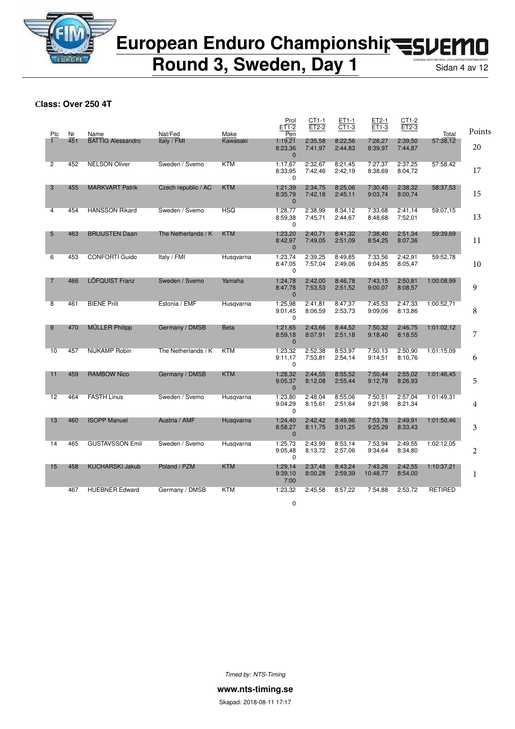

**Round 3, Sweden, Day 1** Sidan 4 av 12

**Class: Over 250 4T**

| Plc            | Nr  | Name                     | Nat/Fed             | Make        | Prol<br>ET1-2<br>Pen               | CT1-1<br>ET2-2     | ET1-1<br>CT1-3     | ET2-1<br>ET1-3      | CT1-2<br>ET2-3     | Total          | Points |
|----------------|-----|--------------------------|---------------------|-------------|------------------------------------|--------------------|--------------------|---------------------|--------------------|----------------|--------|
|                | 451 | <b>BATTIG Alessandro</b> | Italy / FMI         | Kawasaki    | 1:19,21<br>8:23,36<br>$\Omega$     | 2:35,58<br>7:41,97 | 8:22.56<br>2:44,83 | 7:26,27<br>8:39,97  | 2:39,50<br>7:44,87 | 57:38.12       | 20     |
| $\overline{2}$ | 452 | <b>NELSON Oliver</b>     | Sweden / Svemo      | <b>KTM</b>  | 1:17,67<br>8:33,95<br>$\Omega$     | 2:32.67<br>7:42,46 | 8:21.45<br>2:42,19 | 7:27,37<br>8:38,69  | 2:37,25<br>8:04,72 | 57:58.42       | 17     |
| 3              | 455 | <b>MARKVART Patrik</b>   | Czech republic / AC | <b>KTM</b>  | 1:21,39<br>8:35,79<br>$\mathbf{0}$ | 2:34,75<br>7:42,18 | 8:25.06<br>2:45,11 | 7:30,45<br>9:03,74  | 2:38,32<br>8:00,74 | 58:37,53       | 15     |
| 4              | 454 | <b>HANSSON Rikard</b>    | Sweden / Svemo      | <b>HSQ</b>  | 1:28,77<br>8:59.38<br>$\Omega$     | 2:38,99<br>7:45,71 | 8:34.12<br>2:44,67 | 7:33.68<br>8:48.68  | 2:41,14<br>7:52,01 | 59:07,15       | 13     |
| 5              | 463 | <b>BRUIJSTEN Daan</b>    | The Netherlands / K | <b>KTM</b>  | 1:23,20<br>8:42,97<br>$\mathbf{0}$ | 2:40,71<br>7:49.05 | 8:41,32<br>2:51,09 | 7:38,40<br>8:54,25  | 2:51,34<br>8:07.36 | 59:39.69       | 11     |
| 6              | 453 | <b>CONFORTI Guido</b>    | Italy / FMI         | Husqvarna   | 1:23,74<br>8:47,05<br>$\Omega$     | 2:39,25<br>7:57,04 | 8:49.85<br>2:49,06 | 7:33,56<br>9:04,85  | 2:42,91<br>8:05,47 | 59:52,78       | 10     |
| $\overline{7}$ | 466 | <b>LÖFQUIST Franz</b>    | Sweden / Svemo      | Yamaha      | 1:24,78<br>8:47,78<br>$\mathbf{0}$ | 2:42,00<br>7:53,53 | 8:46.78<br>2:51,52 | 7:43,15<br>9:00,07  | 2:50,81<br>8:08,57 | 1:00:08.99     | 9      |
| 8              | 461 | <b>BIENE Priit</b>       | Estonia / EMF       | Husgvarna   | 1:25,98<br>9:01,45<br>$\Omega$     | 2:41,81<br>8:06.59 | 8:47,37<br>2:53,73 | 7:45,53<br>9:09.06  | 2:47,33<br>8:13.86 | 1:00:52,71     | 8      |
| 9              | 470 | <b>MÜLLER Philipp</b>    | Germany / DMSB      | <b>Beta</b> | 1:21,65<br>8:59,18<br>$\mathbf{0}$ | 2:43,66<br>8:07,91 | 8:44,52<br>2:51,18 | 7:50,32<br>9:18,40  | 2:46,75<br>8:18.55 | 1:01:02,12     | 7      |
| 10             | 457 | <b>NIJKAMP Robin</b>     | The Netherlands / K | <b>KTM</b>  | 1:23,32<br>9:11,17<br>$\Omega$     | 2:52,38<br>7:53,81 | 8:53,97<br>2:54,14 | 7:50.13<br>9:14,51  | 2:50,90<br>8:10,76 | 1:01:15.09     | 6      |
| 11             | 459 | <b>RAMBOW Nico</b>       | Germany / DMSB      | KTM         | 1:28,32<br>9:05.37<br>$\mathbf{0}$ | 2:44,55<br>8:12,08 | 8:55,52<br>2:55,44 | 7:50,44<br>9:12,78  | 2:55,02<br>8:26,93 | 1:01:46.45     | 5      |
| 12             | 464 | <b>FASTH Linus</b>       | Sweden / Svemo      | Husqvarna   | 1:23,80<br>9:04,29<br>$\Omega$     | 2:48,04<br>8:15,61 | 8:55,06<br>2:51,64 | 7:50,51<br>9:21,98  | 2:57,04<br>8:21,34 | 1:01:49.31     | 4      |
| 13             | 460 | <b>ISOPP Manuel</b>      | Austria / AMF       | Husqvarna   | 1:24,40<br>8:58,27<br>$\mathbf{0}$ | 2:42,42<br>8:11,75 | 8:49,96<br>3:01,25 | 7:53,78<br>9:25,29  | 2:49,91<br>8:33,43 | 1:01:50,46     | 3      |
| 14             | 465 | <b>GUSTAVSSON Emil</b>   | Sweden / Svemo      | Husqvarna   | 1:25,73<br>9:05,48<br>0            | 2:43,99<br>8:13,72 | 8:53,14<br>2:57,06 | 7:53.94<br>9:34,64  | 2:49.55<br>8:34,80 | 1:02:12.05     | 2      |
| 15             | 458 | <b>KUCHARSKI Jakub</b>   | Poland / PZM        | <b>KTM</b>  | 1:29,14<br>9:39,10<br>7:00         | 2:37,48<br>8:00,28 | 8:43,24<br>2:59,39 | 7:43,26<br>10:48,77 | 2:42,55<br>8:54,00 | 1:10:37,21     | 1      |
|                | 467 | <b>HUEBNER Edward</b>    | Germany / DMSB      | <b>KTM</b>  | 1:23,32<br>0                       | 2:45,58            | 8:57,22            | 7:54.88             | 2:53,72            | <b>RETIRED</b> |        |

*Timed by: NTS-Timing*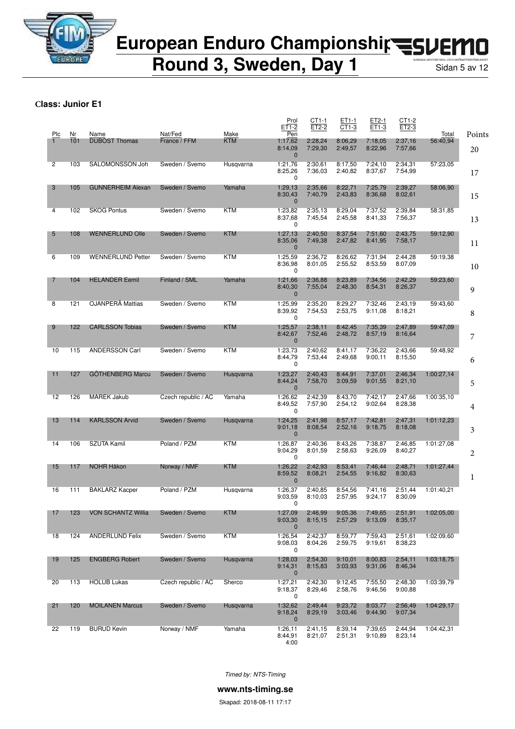

**Round 3, Sweden, Day 1** Sidan 5 av 12

**Class: Junior E1**

|                |           |                              |                         |                    | Prol<br>ET1-2                             | CT1-1<br>ET2-2     | ET1-1<br>CT1-3     | ET2-1<br>ET1-3     | CT1-2<br>ET2-3     |                   |              |
|----------------|-----------|------------------------------|-------------------------|--------------------|-------------------------------------------|--------------------|--------------------|--------------------|--------------------|-------------------|--------------|
| Plc            | Nr<br>101 | Name<br><b>DUBOST Thomas</b> | Nat/Fed<br>France / FFM | Make<br><b>KTM</b> | Pen<br>1:17,62<br>8:14,09<br>$\mathbf 0$  | 2:28,24<br>7:29,30 | 8:06,29<br>2:49,57 | 7:18,05<br>8:22,96 | 2:37,16<br>7:57,66 | Total<br>56:40,94 | Points<br>20 |
| $\overline{2}$ | 103       | SALOMONSSON Joh              | Sweden / Svemo          | Husqvarna          | 1:21,76<br>8:25,26<br>0                   | 2:30,61<br>7:36,03 | 8:17,50<br>2:40,82 | 7:24,10<br>8:37,67 | 2:34,31<br>7:54,99 | 57:23,05          | 17           |
| 3              | 105       | <b>GUNNERHEIM Alexan</b>     | Sweden / Svemo          | Yamaha             | 1:29,13<br>8:30,43<br>$\mathbf 0$         | 2:35,66<br>7:40,79 | 8:22,71<br>2:43,83 | 7:25,79<br>8:36,68 | 2:39,27<br>8:02,61 | 58:06,90          | 15           |
| 4              | 102       | <b>SKOG Pontus</b>           | Sweden / Svemo          | <b>KTM</b>         | 1:23,82<br>8:37,68<br>0                   | 2:35,13<br>7:45,54 | 8:29,04<br>2:45,58 | 7:37.52<br>8:41,33 | 2:39,84<br>7:56,37 | 58:31.85          | 13           |
| 5              | 108       | <b>WENNERLUND Olle</b>       | Sweden / Svemo          | <b>KTM</b>         | 1:27,13<br>8:35,06<br>$\mathbf 0$         | 2:40,50<br>7:49.38 | 8:37,54<br>2:47,82 | 7:51,60<br>8:41,95 | 2:43,75<br>7:58,17 | 59:12,90          | 11           |
| 6              | 109       | <b>WENNERLUND Petter</b>     | Sweden / Svemo          | <b>KTM</b>         | 1:25,59<br>8:36,98<br>0                   | 2:36,72<br>8:01.05 | 8:26,62<br>2:55,52 | 7:31,94<br>8:53,59 | 2:44,28<br>8:07,09 | 59:19,38          | 10           |
| 7              | 104       | <b>HELANDER Eemil</b>        | Finland / SML           | Yamaha             | 1:21,66<br>8:40,30<br>$\mathbf 0$         | 2:36,88<br>7:55,04 | 8:23,89<br>2:48,30 | 7:34,56<br>8:54,31 | 2:42,29<br>8:26,37 | 59:23,60          | 9            |
| 8              | 121       | OJANPERÄ Mattias             | Sweden / Svemo          | <b>KTM</b>         | 1:25,99<br>8:39,92<br>0                   | 2:35,20<br>7:54,53 | 8:29,27<br>2:53,75 | 7:32,46<br>9:11,08 | 2:43,19<br>8:18,21 | 59:43,60          | 8            |
| 9              | 122       | <b>CARLSSON Tobias</b>       | Sweden / Svemo          | <b>KTM</b>         | 1:25,57<br>8:42,67<br>$\mathbf 0$         | 2:38,11<br>7:52,46 | 8:42,45<br>2:48,72 | 7:35,39<br>8:57,19 | 2:47,89<br>8:16,64 | 59:47,09          | 7            |
| 10             | 115       | <b>ANDERSSON Carl</b>        | Sweden / Svemo          | <b>KTM</b>         | 1:23,73<br>8:44,79<br>0                   | 2:40,62<br>7:53.44 | 8:41,17<br>2:49,68 | 7:36,22<br>9:00,11 | 2:43,66<br>8:15,50 | 59:48,92          | 6            |
| 11             | 127       | <b>GÖTHENBERG Marcu</b>      | Sweden / Svemo          | Husqvarna          | 1:23,27<br>8:44,24                        | 2:40,43<br>7:58,70 | 8:44,91<br>3:09,59 | 7:37,01<br>9:01,55 | 2:46,34<br>8:21,10 | 1:00:27,14        | 5            |
| 12             | 126       | <b>MAREK Jakub</b>           | Czech republic / AC     | Yamaha             | $\mathbf 0$<br>1:26,62<br>8:49,52         | 2:42,39<br>7:57,90 | 8:43,70<br>2:54,12 | 7:42,17<br>9:02,64 | 2:47,66<br>8:28,38 | 1:00:35,10        | 4            |
| 13             | 114       | <b>KARLSSON Arvid</b>        | Sweden / Svemo          | Husqvarna          | 0<br>1:24,25<br>9:01,18                   | 2:41,98<br>8:08,54 | 8:57,17<br>2:52,16 | 7:42,81<br>9:18,75 | 2:47,31<br>8:18,08 | 1:01:12,23        | 3            |
| 14             | 106       | <b>SZUTA Kamil</b>           | Poland / PZM            | <b>KTM</b>         | $\mathbf 0$<br>1:26,87<br>9:04,29         | 2:40,36<br>8:01,59 | 8:43,26<br>2:58,63 | 7:38,87<br>9:26,09 | 2:46,85<br>8:40,27 | 1:01:27,08        | 2            |
| 15             | 117       | <b>NOHR Håkon</b>            | Norway / NMF            | <b>KTM</b>         | 0<br>1:26,22<br>8:59,52                   | 2:42,93<br>8:08,21 | 8:53,41<br>2:54,55 | 7:46,44<br>9:16,82 | 2:48,71<br>8:30,63 | 1:01:27,44        | 1            |
| 16             | 111       | <b>BAKLARZ Kacper</b>        | Poland / PZM            | Husgvarna          | $\mathbf{0}$<br>1:26,37<br>9:03,59        | 2:40.85<br>8:10,03 | 8:54,56<br>2:57,95 | 7:41,16<br>9:24,17 | 2:51,44<br>8:30,09 | 1:01:40,21        |              |
| 17             | 123       | VON SCHANTZ Willia           | Sweden / Svemo          | <b>KTM</b>         | $\Omega$<br>1:27,09<br>9:03,30            | 2:46,99<br>8:15,15 | 9:05,36<br>2:57,29 | 7:49,65<br>9:13,09 | 2:51,91<br>8:35,17 | 1:02:05,00        |              |
| 18             | 124       | <b>ANDERLUND Felix</b>       | Sweden / Svemo          | <b>KTM</b>         | $\mathbf 0$<br>1:26,54<br>9:08,03         | 2:42,37<br>8:04,26 | 8:59,77<br>2:59,75 | 7:59,43<br>9:19,61 | 2:51,61<br>8:38,23 | 1:02:09,60        |              |
| 19             | 125       | <b>ENGBERG Robert</b>        | Sweden / Svemo          | Husqvarna          | 0<br>1:28,03<br>9:14,31                   | 2:54,30<br>8:15,83 | 9:10,01<br>3:03,93 | 8:00,83<br>9:31,06 | 2:54,11<br>8:46,34 | 1:03:18,75        |              |
| 20             | 113       | <b>HOLUB Lukas</b>           | Czech republic / AC     | Sherco             | $\mathbf 0$<br>1:27,21<br>9:18,37         | 2:42,30<br>8:29,46 | 9:12,45<br>2:58,76 | 7:55,50<br>9:46,56 | 2:48,30<br>9:00,88 | 1:03:39,79        |              |
| 21             | 120       | <b>MOILANEN Marcus</b>       | Sweden / Svemo          | Husqvarna          | 0<br>1:32,62<br>9:18,24                   | 2:49,44<br>8:29,19 | 9:23,72<br>3:03,46 | 8:03,77<br>9:44,90 | 2:56,49<br>9:07,34 | 1:04:29,17        |              |
| 22             | 119       | <b>BURUD Kevin</b>           | Norway / NMF            | Yamaha             | $\mathbf 0$<br>1:26,11<br>8:44,91<br>4:00 | 2:41,15<br>8:21,07 | 8:39,14<br>2:51,31 | 7:39,65<br>9:10,89 | 2:44,94<br>8:23,14 | 1:04:42,31        |              |

*Timed by: NTS-Timing*

**www.nts-timing.se**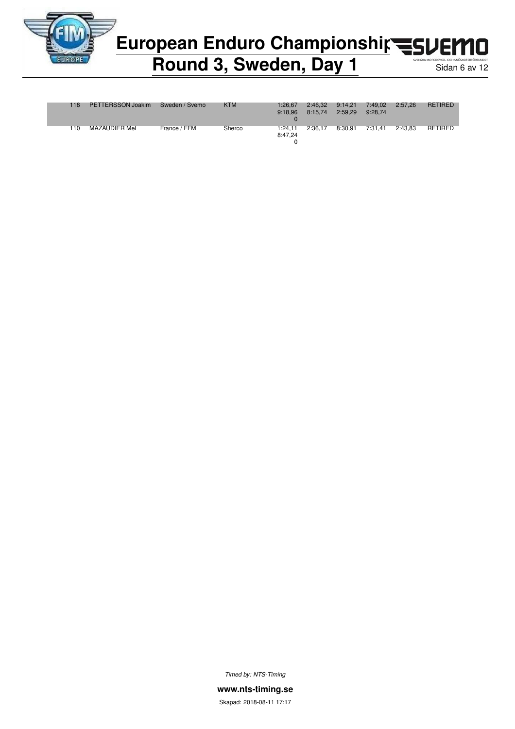

# European Enduro Championshir<br /> **European Enduro Championship<br />
<a>
FLOPED**

### **Round 3, Sweden, Day 1** Sidan 6 av 12

| 118 | PETTERSSON Joakim | Sweden / Svemo | <b>KTM</b> | 1:26.67 | 2:46.32 | 9:14.21 | 7:49.02 | 2:57.26 | <b>RETIRED</b> |
|-----|-------------------|----------------|------------|---------|---------|---------|---------|---------|----------------|
|     |                   |                |            | 9:18.96 | 8:15.74 | 2:59.29 | 9:28.74 |         |                |
|     |                   |                |            |         |         |         |         |         |                |
|     |                   |                |            |         |         |         |         |         |                |
| 110 | MAZAUDIER Mel     | France / FFM   | Sherco     | 1:24.11 | 2:36.17 | 8:30.91 | 7:31.41 | 2:43.83 | RETIRED        |
|     |                   |                |            | 8:47.24 |         |         |         |         |                |
|     |                   |                |            |         |         |         |         |         |                |
|     |                   |                |            |         |         |         |         |         |                |

*Timed by: NTS-Timing*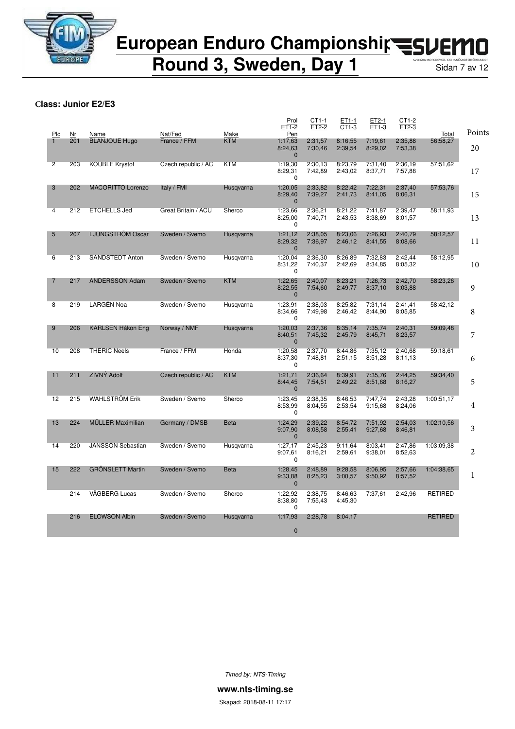

**Round 3, Sweden, Day 1** Sidan 7 av 12

**Class: Junior E2/E3**

|                |           |                              |                         |                    | Prol<br>$ET1-2$                      | CT1-1<br>$ET2-2$   | ET1-1<br>CT1-3     | ET2-1<br>ET1-3     | CT1-2<br>ET2-3     |                   |                |
|----------------|-----------|------------------------------|-------------------------|--------------------|--------------------------------------|--------------------|--------------------|--------------------|--------------------|-------------------|----------------|
| Plc            | Nr<br>201 | Name<br><b>BLANJOUE Hugo</b> | Nat/Fed<br>France / FFM | Make<br><b>KTM</b> | Pen<br>1:17,63                       | 2:31,57            | 8:16,55            | 7:19,61            | 2:35,88            | Total<br>56:58,27 | Points         |
|                |           |                              |                         |                    | 8:24,63<br>$\mathbf{0}$              | 7:30,46            | 2:39,54            | 8:29,02            | 7:53,38            |                   | 20             |
| $\overline{2}$ | 203       | <b>KOUBLE Krystof</b>        | Czech republic / AC     | <b>KTM</b>         | 1:19,30<br>8:29,31<br>0              | 2:30,13<br>7:42.89 | 8:23,79<br>2:43,02 | 7:31,40<br>8:37,71 | 2:36,19<br>7:57.88 | 57:51.62          | 17             |
| 3              | 202       | <b>MACORITTO Lorenzo</b>     | Italy / FMI             | Husqvarna          | 1:20,05<br>8:29,40<br>$\mathbf{0}$   | 2:33,82<br>7:39,27 | 8:22,42<br>2:41,73 | 7:22.31<br>8:41,05 | 2:37,40<br>8:06,31 | 57:53,76          | 15             |
| 4              | 212       | <b>ETCHELLS Jed</b>          | Great Britain / ACU     | Sherco             | 1:23,66<br>8:25,00<br>0              | 2:36,21<br>7:40,71 | 8:21,22<br>2:43,53 | 7:41,87<br>8:38.69 | 2:39,47<br>8:01,57 | 58:11.93          | 13             |
| 5              | 207       | LJUNGSTRÖM Oscar             | Sweden / Svemo          | Husgvarna          | 1:21,12<br>8:29,32<br>$\mathbf{0}$   | 2:38,05<br>7:36,97 | 8:23.06<br>2:46,12 | 7:26.93<br>8:41,55 | 2:40,79<br>8:08,66 | 58:12,57          | 11             |
| 6              | 213       | SANDSTEDT Anton              | Sweden / Svemo          | Husqvarna          | 1:20,04<br>8:31,22<br>$\Omega$       | 2:36,30<br>7:40,37 | 8:26.89<br>2:42,69 | 7:32,83<br>8:34,85 | 2:42,44<br>8:05,32 | 58:12,95          | 10             |
| 7              | 217       | <b>ANDERSSON Adam</b>        | Sweden / Svemo          | <b>KTM</b>         | 1:22.65<br>8:22,55<br>$\mathbf 0$    | 2:40.07<br>7:54,60 | 8:23.21<br>2:49,77 | 7:26.73<br>8:37,10 | 2:42.70<br>8:03,88 | 58:23.26          | 9              |
| 8              | 219       | LARGÉN Noa                   | Sweden / Svemo          | Husqvarna          | 1:23,91<br>8:34,66<br>0              | 2:38,03<br>7:49,98 | 8:25,82<br>2:46,42 | 7:31.14<br>8:44,90 | 2:41,41<br>8:05.85 | 58:42,12          | 8              |
| 9              | 206       | KARLSEN Håkon Eng            | Norway / NMF            | Husqvarna          | 1:20,03<br>8:40,51<br>$\mathbf{0}$   | 2:37,36<br>7:45,32 | 8:35,14<br>2:45,79 | 7:35,74<br>8:45,71 | 2:40,31<br>8:23,57 | 59:09,48          | 7              |
| 10             | 208       | <b>THERIC Neels</b>          | France / FFM            | Honda              | 1:20,58<br>8:37,30<br>0              | 2:37,70<br>7:48,81 | 8:44,86<br>2:51,15 | 7:35,12<br>8:51,28 | 2:40,68<br>8:11,13 | 59:18.61          | 6              |
| 11             | 211       | ZIVNÝ Adolf                  | Czech republic / AC     | <b>KTM</b>         | 1:21,71<br>8:44,45<br>$\overline{0}$ | 2:36,64<br>7:54,51 | 8:39,91<br>2:49,22 | 7:35,76<br>8:51,68 | 2:44,25<br>8:16,27 | 59:34,40          | 5              |
| 12             | 215       | <b>WAHLSTRÖM Erik</b>        | Sweden / Svemo          | Sherco             | 1:23,45<br>8:53,99<br>0              | 2:38,35<br>8:04,55 | 8:46,53<br>2:53,54 | 7:47,74<br>9:15.68 | 2:43,28<br>8:24,06 | 1:00:51,17        | 4              |
| 13             | 224       | <b>MÜLLER Maximilian</b>     | Germany / DMSB          | <b>Beta</b>        | 1:24,29<br>9:07,90<br>$\mathbf 0$    | 2:39,22<br>8:08,58 | 8:54,72<br>2:55,41 | 7:51,92<br>9:27,68 | 2:54,03<br>8:46,81 | 1:02:10,56        | 3              |
| 14             | 220       | <b>JANSSON Sebastian</b>     | Sweden / Svemo          | Husqvarna          | 1:27,17<br>9:07,61<br>0              | 2:45,23<br>8:16,21 | 9:11.64<br>2:59,61 | 8:03,41<br>9:38,01 | 2:47,86<br>8:52,63 | 1:03:09.38        | $\overline{c}$ |
| 15             | 222       | <b>GRÖNSLETT Martin</b>      | Sweden / Svemo          | <b>Beta</b>        | 1:28,45<br>9:33,88<br>$\mathbf{0}$   | 2:48,89<br>8:25,23 | 9:28,58<br>3:00,57 | 8:06,95<br>9:50,92 | 2:57,66<br>8:57,52 | 1:04:38,65        | 1              |
|                | 214       | VÅGBERG Lucas                | Sweden / Svemo          | Sherco             | 1:22,92<br>8:38,80<br>0              | 2:38,75<br>7:55,43 | 8:46.63<br>4:45,30 | 7:37,61            | 2:42,96            | <b>RETIRED</b>    |                |
|                | 216       | <b>ELOWSON Albin</b>         | Sweden / Svemo          | Husqvarna          | 1:17,93                              | 2:28,78            | 8:04,17            |                    |                    | <b>RETIRED</b>    |                |
|                |           |                              |                         |                    | $\mathbf 0$                          |                    |                    |                    |                    |                   |                |
|                |           |                              |                         |                    |                                      |                    |                    |                    |                    |                   |                |

*Timed by: NTS-Timing*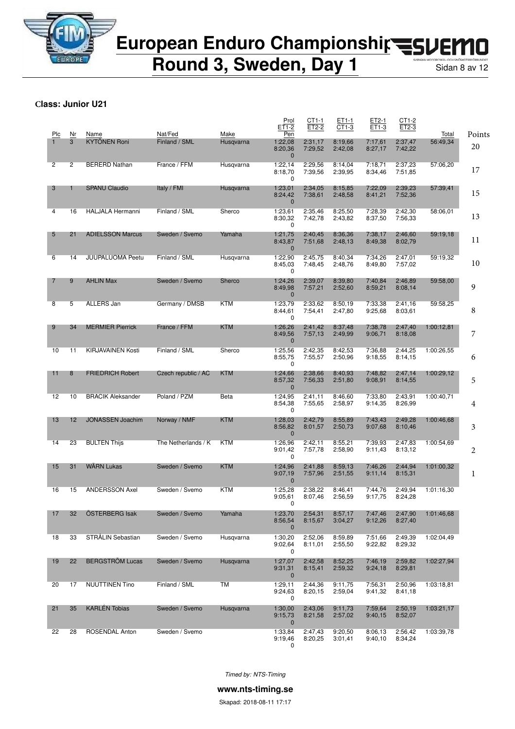

**Round 3, Sweden, Day 1** Sidan 8 av 12

#### **Class: Junior U21**

| Plc | Nr             | Name                     | Nat/Fed             | Make       | Prol<br>ET1-2<br>Pen               | CT1-1<br>ET2-2     | ET1-1<br>CT1-3     | ET2-1<br>ET1-3     | CT1-2<br>ET2-3     | Total      | Points |
|-----|----------------|--------------------------|---------------------|------------|------------------------------------|--------------------|--------------------|--------------------|--------------------|------------|--------|
|     | 3              | <b>KYTÖNEN Roni</b>      | Finland / SML       | Husqvarna  | 1:22,08<br>8:20,36<br>$\mathbf 0$  | 2:31,17<br>7:29,52 | 8:19.66<br>2:42,08 | 7:17.61<br>8:27,17 | 2:37,47<br>7:42,22 | 56:49,34   | 20     |
| 2   | $\overline{c}$ | <b>BERERD Nathan</b>     | France / FFM        | Husqvarna  | 1:22,14<br>8:18,70<br>0            | 2:29.56<br>7:39,56 | 8:14,04<br>2:39,95 | 7:18,71<br>8:34,46 | 2:37,23<br>7:51.85 | 57:06,20   | 17     |
| 3   | 1              | <b>SPANU Claudio</b>     | Italy / FMI         | Husqvarna  | 1:23,01<br>8:24,42<br>$\mathbf{0}$ | 2:34,05<br>7:38,61 | 8:15.85<br>2:48,58 | 7:22,09<br>8:41,21 | 2:39,23<br>7:52,36 | 57:39,41   | 15     |
| 4   | 16             | <b>HALJALA Hermanni</b>  | Finland / SML       | Sherco     | 1:23,61<br>8:30,32<br>0            | 2:35,46<br>7:42,78 | 8:25,50<br>2:43,82 | 7:28,39<br>8:37,50 | 2:42,30<br>7:56,33 | 58:06.01   | 13     |
| 5   | 21             | <b>ADIELSSON Marcus</b>  | Sweden / Svemo      | Yamaha     | 1:21,75<br>8:43,87<br>$\mathbf{0}$ | 2:40,45<br>7:51,68 | 8:36,36<br>2:48,13 | 7:38,17<br>8:49,38 | 2:46,60<br>8:02,79 | 59:19.18   | 11     |
| 6   | 14             | <b>JUUPALUOMA Peetu</b>  | Finland / SML       | Husqvarna  | 1:22,90<br>8:45,03<br>0            | 2:45,75<br>7:48,45 | 8:40,34<br>2:48,76 | 7:34,26<br>8:49,80 | 2:47,01<br>7:57,02 | 59:19,32   | 10     |
| 7   | 9              | <b>AHLIN Max</b>         | Sweden / Svemo      | Sherco     | 1:24,26<br>8:49,98<br>$\mathbf 0$  | 2:39,07<br>7:57,21 | 8:39,80<br>2:52,60 | 7:40,84<br>8:59,21 | 2:46.89<br>8:08,14 | 59:58,00   | 9      |
| 8   | 5              | ALLERS Jan               | Germany / DMSB      | KTM        | 1:23,79<br>8:44,61<br>0            | 2:33.62<br>7:54,41 | 8:50,19<br>2:47,80 | 7:33,38<br>9:25,68 | 2:41,16<br>8:03,61 | 59:58,25   | 8      |
| 9   | 34             | <b>MERMIER Pierrick</b>  | France / FFM        | <b>KTM</b> | 1:26,26<br>8:49,56<br>$\mathbf 0$  | 2:41,42<br>7:57,13 | 8:37,48<br>2:49,99 | 7:38,78<br>9:06,71 | 2:47,40<br>8:18,08 | 1:00:12,81 | 7      |
| 10  | 11             | <b>KIRJAVAINEN Kosti</b> | Finland / SML       | Sherco     | 1:25,56<br>8:55,75<br>0            | 2:42,35<br>7:55,57 | 8:42,53<br>2:50,96 | 7:36,88<br>9:18,55 | 2:44,25<br>8:14,15 | 1:00:26.55 | 6      |
| 11  | 8              | <b>FRIEDRICH Robert</b>  | Czech republic / AC | <b>KTM</b> | 1:24,66<br>8:57,32<br>$\mathbf 0$  | 2:38,66<br>7:56,33 | 8:40,93<br>2:51,80 | 7:48.82<br>9:08,91 | 2:47,14<br>8:14,55 | 1:00:29,12 | 5      |
| 12  | 10             | <b>BRACIK Aleksander</b> | Poland / PZM        | Beta       | 1:24,95<br>8:54,38<br>0            | 2:41,11<br>7:55,65 | 8:46.60<br>2:58,97 | 7:33,80<br>9:14,35 | 2:43,91<br>8:26,99 | 1:00:40,71 | 4      |
| 13  | 12             | <b>JONASSEN Joachim</b>  | Norway / NMF        | <b>KTM</b> | 1:28,03<br>8:56,82<br>$\mathbf{0}$ | 2:42,79<br>8:01,57 | 8:55,89<br>2:50,73 | 7:43,43<br>9:07,68 | 2:49,28<br>8:10,46 | 1:00:46.68 | 3      |
| 14  | 23             | <b>BULTEN Thijs</b>      | The Netherlands / K | KTM        | 1:26,96<br>9:01.42<br>0            | 2:42,11<br>7:57.78 | 8:55,21<br>2:58,90 | 7:39.93<br>9:11,43 | 2:47,83<br>8:13,12 | 1:00:54,69 | 2      |
| 15  | 31             | <b>WÄRN Lukas</b>        | Sweden / Svemo      | <b>KTM</b> | 1:24,96<br>9:07,19<br>$\mathbf 0$  | 2:41,88<br>7:57,96 | 8:59,13<br>2:51,55 | 7:46,26<br>9:11,14 | 2:44,94<br>8:15,31 | 1:01:00.32 | 1      |
| 16  | 15             | <b>ANDERSSON Axel</b>    | Sweden / Svemo      | KTM        | 1:25,28<br>9:05,61<br>$\Omega$     | 2:38,22<br>8:07,46 | 8:46,41<br>2:56,59 | 7:44.76<br>9:17,75 | 2:49,94<br>8:24.28 | 1:01:16,30 |        |
| 17  | 32             | ÖSTERBERG Isak           | Sweden / Svemo      | Yamaha     | 1:23,70<br>8:56,54<br>$\mathbf 0$  | 2:54,31<br>8:15,67 | 8:57,17<br>3:04,27 | 7:47,46<br>9:12,26 | 2:47,90<br>8:27,40 | 1:01:46,68 |        |
| 18  | 33             | STRÅLIN Sebastian        | Sweden / Svemo      | Husqvarna  | 1:30,20<br>9:02,64<br>0            | 2:52,06<br>8:11,01 | 8:59.89<br>2:55,50 | 7:51,66<br>9:22,82 | 2:49,39<br>8:29,32 | 1:02:04,49 |        |
| 19  | 22             | <b>BERGSTRÖM Lucas</b>   | Sweden / Svemo      | Husqvarna  | 1:27,07<br>9:31,31<br>$\mathbf 0$  | 2:42,58<br>8:15,41 | 8:52,25<br>2:59,32 | 7:46,19<br>9:24,18 | 2:59,82<br>8:29,81 | 1:02:27,94 |        |
| 20  | 17             | <b>NUUTTINEN Tino</b>    | Finland / SML       | TM         | 1:29,11<br>9:24,63<br>0            | 2:44,36<br>8:20,15 | 9:11,75<br>2:59,04 | 7:56,31<br>9:41,32 | 2:50,96<br>8:41,18 | 1:03:18,81 |        |
| 21  | 35             | <b>KARLEN Tobias</b>     | Sweden / Svemo      | Husqvarna  | 1:30,00<br>9:15,73<br>$\mathbf 0$  | 2:43,06<br>8:21,58 | 9:11,73<br>2:57,02 | 7:59,64<br>9:40,15 | 2:50,19<br>8:52,07 | 1:03:21,17 |        |
| 22  | 28             | ROSENDAL Anton           | Sweden / Svemo      |            | 1:33,84<br>9:19,46<br>0            | 2:47,43<br>8:20,25 | 9:20,50<br>3:01,41 | 8:06,13<br>9:40,10 | 2:56,42<br>8:34,24 | 1:03:39,78 |        |

*Timed by: NTS-Timing*

**www.nts-timing.se**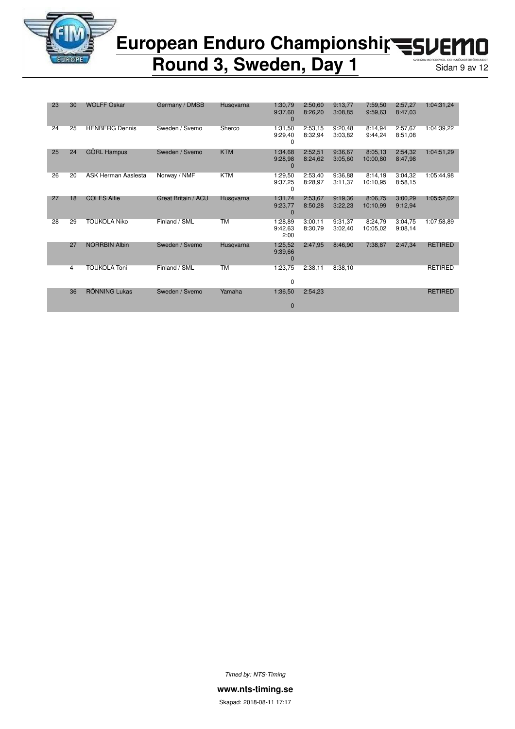

### European Enduro Championshir<br /> **EUROPERION** n

### **Round 3, Sweden, Day 1** Sidan 9 av 12

| 23 | 30 | <b>WOLFF Oskar</b>    | Germany / DMSB      | Husqvarna  | 1:30,79<br>9:37,60<br>$\Omega$ | 2:50.60<br>8:26,20 | 9:13,77<br>3:08.85 | 7:59,50<br>9:59.63  | 2:57,27<br>8:47.03 | 1:04:31.24     |
|----|----|-----------------------|---------------------|------------|--------------------------------|--------------------|--------------------|---------------------|--------------------|----------------|
| 24 | 25 | <b>HENBERG Dennis</b> | Sweden / Svemo      | Sherco     | 1:31,50<br>9:29,40<br>0        | 2:53,15<br>8:32,94 | 9:20,48<br>3:03.82 | 8:14,94<br>9:44,24  | 2:57,67<br>8:51.08 | 1:04:39.22     |
| 25 | 24 | <b>GORL Hampus</b>    | Sweden / Svemo      | <b>KTM</b> | 1:34,68<br>9:28,98<br>$\Omega$ | 2:52,51<br>8:24.62 | 9:36.67<br>3:05.60 | 8:05,13<br>10:00,80 | 2:54,32<br>8:47.98 | 1:04:51,29     |
| 26 | 20 | ASK Herman Aaslesta   | Norway / NMF        | <b>KTM</b> | 1:29,50<br>9:37,25<br>0        | 2:53,40<br>8:28,97 | 9:36.88<br>3:11,37 | 8:14.19<br>10:10.95 | 3:04,32<br>8:58.15 | 1:05:44.98     |
| 27 | 18 | <b>COLES Alfie</b>    | Great Britain / ACU | Husqvarna  | 1:31,74<br>9:23,77<br>$\Omega$ | 2:53,67<br>8:50,28 | 9:19.36<br>3:22,23 | 8:06,75<br>10:10.99 | 3:00,29<br>9:12,94 | 1:05:52,02     |
| 28 | 29 | <b>TOUKOLA Niko</b>   | Finland / SML       | <b>TM</b>  | 1:28,89<br>9:42,63<br>2:00     | 3:00.11<br>8:30,79 | 9:31.37<br>3:02,40 | 8:24.79<br>10:05.02 | 3:04.75<br>9:08,14 | 1:07:58.89     |
|    | 27 | <b>NORRBIN Albin</b>  | Sweden / Svemo      | Husqvarna  | 1:25,52<br>9:39,66<br>$\Omega$ | 2:47,95            | 8:46.90            | 7:38,87             | 2:47,34            | <b>RETIRED</b> |
|    | 4  | <b>TOUKOLA Toni</b>   | Finland / SML       | <b>TM</b>  | 1:23,75<br>0                   | 2:38.11            | 8:38.10            |                     |                    | <b>RETIRED</b> |
|    | 36 | <b>RÖNNING Lukas</b>  | Sweden / Svemo      | Yamaha     | 1:36,50<br>$\bf{0}$            | 2:54.23            |                    |                     |                    | <b>RETIRED</b> |

*Timed by: NTS-Timing*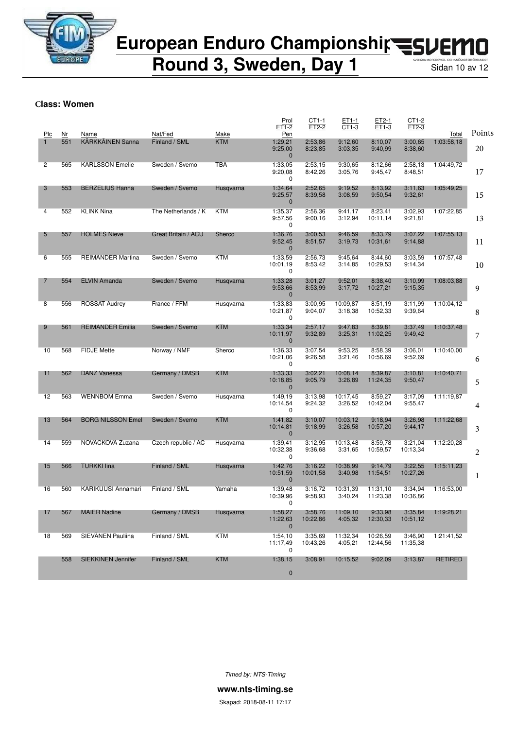

**Round 3, Sweden, Day 1** Sidan 10 av 12

#### **Class: Women**

| Plc            | Nr  | Name                     | Nat/Fed             | Make       | Prol<br>ET1-2<br>Pen                | CT1-1<br>ET2-2      | ET1-1<br>CT1-3      | ET2-1<br>ET1-3       | CT1-2<br>$ET2-3$    | Total          | Points |
|----------------|-----|--------------------------|---------------------|------------|-------------------------------------|---------------------|---------------------|----------------------|---------------------|----------------|--------|
|                | 551 | <b>KÄRKKÄINEN Sanna</b>  | Finland / SML       | <b>KTM</b> | 1:29,21<br>9:25,00<br>$\mathbf{0}$  | 2:53,86<br>8:23,85  | 9:12,60<br>3:03,35  | 8:10,07<br>9:40,99   | 3:00,65<br>8:38,60  | 1:03:58.18     | 20     |
| 2              | 565 | <b>KARLSSON Emelie</b>   | Sweden / Svemo      | <b>TBA</b> | 1:33,05<br>9:20,08<br>0             | 2:53,15<br>8:42,26  | 9:30.65<br>3:05,76  | 8:12.66<br>9:45,47   | 2:58,13<br>8:48,51  | 1:04:49.72     | 17     |
| 3              | 553 | <b>BERZELIUS Hanna</b>   | Sweden / Svemo      | Husqvarna  | 1:34,64<br>9:25,57<br>$\mathbf 0$   | 2:52,65<br>8:39,58  | 9:19.52<br>3:08,59  | 8:13,92<br>9:50,54   | 3:11,63<br>9:32,61  | 1:05:49,25     | 15     |
| 4              | 552 | <b>KLINK Nina</b>        | The Netherlands / K | <b>KTM</b> | 1:35,37<br>9:57,56<br>0             | 2:56.36<br>9:00,16  | 9:41.17<br>3:12,94  | 8:23,41<br>10:11.14  | 3:02.93<br>9:21,81  | 1:07:22,85     | 13     |
| 5              | 557 | <b>HOLMES Nieve</b>      | Great Britain / ACU | Sherco     | 1:36,76<br>9:52,45<br>$\mathbf 0$   | 3:00,53<br>8:51,57  | 9:46,59<br>3:19,73  | 8:33.79<br>10:31,61  | 3:07,22<br>9:14,88  | 1:07:55,13     | 11     |
| 6              | 555 | <b>REIMANDER Martina</b> | Sweden / Svemo      | <b>KTM</b> | 1:33,59<br>10:01,19<br>0            | 2:56,73<br>8:53,42  | 9:45.64<br>3:14,85  | 8:44,60<br>10:29,53  | 3:03,59<br>9:14,34  | 1:07:57,48     | 10     |
| 7              | 554 | <b>ELVIN Amanda</b>      | Sweden / Svemo      | Husqvarna  | 1:33,28<br>9:53,66<br>$\mathbf 0$   | 3:01,27<br>8:53,99  | 9:52,01<br>3:17,72  | 8:38,40<br>10:27,21  | 3:10,99<br>9:15,35  | 1:08:03,88     | 9      |
| $\overline{8}$ | 556 | <b>ROSSAT Audrey</b>     | France / FFM        | Husqvarna  | 1:33,83<br>10:21,87<br>0            | 3:00,95<br>9:04,07  | 10:09.87<br>3:18,38 | 8:51,19<br>10:52,33  | 3:11.99<br>9:39,64  | 1:10:04,12     | 8      |
| 9              | 561 | <b>REIMANDER Emilia</b>  | Sweden / Svemo      | KTM        | 1:33,34<br>10:11,97<br>$\mathbf 0$  | 2:57,17<br>9:32,89  | 9:47,83<br>3:25,31  | 8:39.81<br>11:02,25  | 3:37,49<br>9:49,42  | 1:10:37,48     | 7      |
| 10             | 568 | <b>FIDJE Mette</b>       | Norway / NMF        | Sherco     | 1:36,33<br>10:21,06<br>0            | 3:07.54<br>9:26,58  | 9:53.25<br>3:21,46  | 8:58,39<br>10:56.69  | 3:06.01<br>9:52,69  | 1:10:40,00     | 6      |
| 11             | 562 | <b>DANZ Vanessa</b>      | Germany / DMSB      | KTM        | 1:33,33<br>10:18,85<br>$\mathbf{0}$ | 3:02,21<br>9:05,79  | 10:08,14<br>3:26,89 | 8:39,87<br>11:24,35  | 3:10,81<br>9:50,47  | 1:10:40,71     | 5      |
| 12             | 563 | <b>WENNBOM Emma</b>      | Sweden / Svemo      | Husqvarna  | 1:49,19<br>10:14,54<br>0            | 3:13,98<br>9:24,32  | 10:17,45<br>3:26,52 | 8:59,27<br>10:42,04  | 3:17,09<br>9:55,47  | 1:11:19,87     | 4      |
| 13             | 564 | <b>BORG NILSSON Emel</b> | Sweden / Svemo      | KTM        | 1:41,82<br>10:14,81<br>$\mathbf{0}$ | 3:10,07<br>9:18,99  | 10:03,12<br>3:26,58 | 9:18,94<br>10:57,20  | 3:26,98<br>9:44,17  | 1:11:22,68     | 3      |
| 14             | 559 | NOVACKOVA Zuzana         | Czech republic / AC | Husqvarna  | 1:39,41<br>10:32,38<br>0            | 3:12.95<br>9:36,68  | 10:13,48<br>3:31,65 | 8:59,78<br>10:59,57  | 3:21,04<br>10:13,34 | 1:12:20,28     | 2      |
| 15             | 566 | TURKKI lina              | Finland / SML       | Husqvarna  | 1:42,76<br>10:51,59<br>$\mathbf 0$  | 3:16.22<br>10:01,58 | 10:38,99<br>3:40,98 | 9:14.79<br>11:54,51  | 3:22,55<br>10:27,26 | 1:15:11.23     | 1      |
| 16             | 560 | KARIKUUSI Annamari       | Finland / SML       | Yamaha     | 1:39.48<br>10:39,96<br>$\Omega$     | 3:16,72<br>9:58,93  | 10:31,39<br>3:40,24 | 11:31,10<br>11:23,38 | 3:34,94<br>10:36,86 | 1:16:53,00     |        |
| 17             | 567 | <b>MAIER Nadine</b>      | Germany / DMSB      | Husqvarna  | 1:58,27<br>11:22,63<br>$\mathbf 0$  | 3:58,76<br>10:22,86 | 11:09,10<br>4:05,32 | 9:33,98<br>12:30,33  | 3:35,84<br>10:51,12 | 1:19:28,21     |        |
| 18             | 569 | SIEVÄNEN Pauliina        | Finland / SML       | <b>KTM</b> | 1:54,10<br>11:17,49<br>0            | 3:35,69<br>10:43,26 | 11:32,34<br>4:05,21 | 10:26,59<br>12:44,56 | 3:46,90<br>11:35,38 | 1:21:41,52     |        |
|                | 558 | SIEKKINEN Jennifer       | Finland / SML       | <b>KTM</b> | 1:38,15<br>$\bf{0}$                 | 3:08,91             | 10:15,52            | 9:02,09              | 3:13,87             | <b>RETIRED</b> |        |
|                |     |                          |                     |            |                                     |                     |                     |                      |                     |                |        |

*Timed by: NTS-Timing*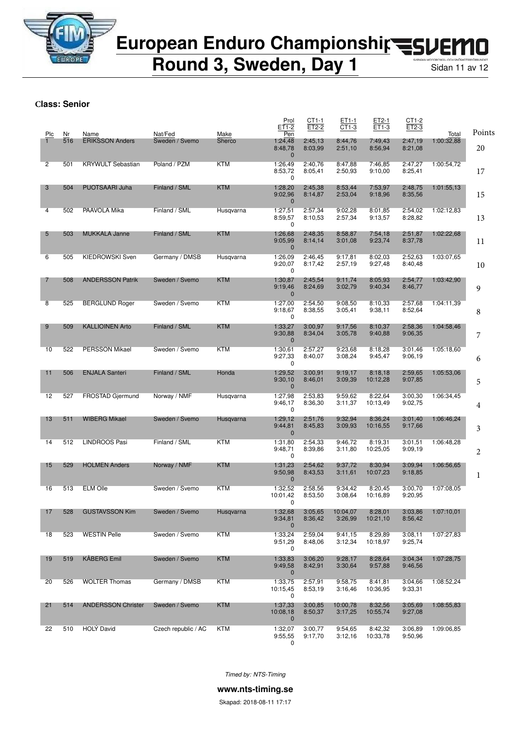

**Round 3, Sweden, Day 1** Sidan 11 av 12

**Class: Senior**

| Plc            | Nr  | Name                      | Nat/Fed             | Make       | Prol<br>ET1-2<br>Pen                | CT1-1<br>ET2-2     | ET1-1<br>CT1-3      | ET2-1<br>ET1-3      | CT1-2<br>ET2-3     | Total      | Points |
|----------------|-----|---------------------------|---------------------|------------|-------------------------------------|--------------------|---------------------|---------------------|--------------------|------------|--------|
| $\mathbf{1}$   | 516 | <b>ERIKSSON Anders</b>    | Sweden / Svemo      | Sherco     | 1:24,48<br>8:48,78<br>$\mathbf 0$   | 2:45.13<br>8:03,99 | 8:44,76<br>2:51,10  | 7:49,43<br>8:56,94  | 2:47,19<br>8:21,08 | 1:00:32,88 | 20     |
| $\overline{2}$ | 501 | <b>KRYWULT Sebastian</b>  | Poland / PZM        | <b>KTM</b> | 1:26,49<br>8:53,72<br>0             | 2:40.76<br>8:05,41 | 8:47,88<br>2:50,93  | 7:46.85<br>9:10,00  | 2:47,27<br>8:25,41 | 1:00:54,72 | 17     |
| 3              | 504 | PUOTSAARI Juha            | Finland / SML       | <b>KTM</b> | 1:28,20<br>9:02,96<br>$\mathbf{0}$  | 2:45,38<br>8:14,87 | 8:53,44<br>2:53,04  | 7:53,97<br>9:18,96  | 2:48,75<br>8:35,56 | 1:01:55,13 | 15     |
| 4              | 502 | PAAVOLA Mika              | Finland / SML       | Husqvarna  | 1:27,51<br>8:59,57<br>0             | 2:57,34<br>8:10,53 | 9:02,28<br>2:57,34  | 8:01,85<br>9:13,57  | 2:54,02<br>8:28,82 | 1:02:12,83 | 13     |
| 5              | 503 | <b>MUKKALA Janne</b>      | Finland / SML       | <b>KTM</b> | 1:26,68<br>9:05,99<br>$\mathbf{0}$  | 2:48,35<br>8:14,14 | 8:58,87<br>3:01,08  | 7:54,18<br>9:23,74  | 2:51,87<br>8:37,78 | 1:02:22,68 | 11     |
| 6              | 505 | <b>KIEDROWSKI Sven</b>    | Germany / DMSB      | Husqvarna  | 1:26,09<br>9:20,07<br>0             | 2:46,45<br>8:17,42 | 9:17,81<br>2:57,19  | 8:02.03<br>9:27,48  | 2:52.63<br>8:40,48 | 1:03:07.65 | 10     |
| 7              | 508 | <b>ANDERSSON Patrik</b>   | Sweden / Svemo      | <b>KTM</b> | 1:30,87<br>9:19,46<br>$\mathbf{0}$  | 2:45,54<br>8:24,69 | 9:11,74<br>3:02,79  | 8:05,93<br>9:40,34  | 2:54,77<br>8:46,77 | 1:03:42,90 | 9      |
| 8              | 525 | <b>BERGLUND Roger</b>     | Sweden / Svemo      | <b>KTM</b> | 1:27,00<br>9:18,67<br>0             | 2:54,50<br>8:38,55 | 9:08.50<br>3:05,41  | 8:10.33<br>9:38,11  | 2:57,68<br>8:52,64 | 1:04:11,39 | 8      |
| 9              | 509 | <b>KALLIOINEN Arto</b>    | Finland / SML       | <b>KTM</b> | 1:33,27<br>9:30,88<br>$\mathbf{0}$  | 3:00.97<br>8:34,04 | 9:17,56<br>3:05,78  | 8:10,37<br>9:40,88  | 2:58,36<br>9:06,35 | 1:04:58,46 | 7      |
| 10             | 522 | <b>PERSSON Mikael</b>     | Sweden / Svemo      | KTM        | 1:30,61<br>9:27,33<br>0             | 2:57,27<br>8:40,07 | 9:23.68<br>3:08,24  | 8:18,28<br>9:45,47  | 3:01,46<br>9:06,19 | 1:05:18,60 | 6      |
| 11             | 506 | <b>ENJALA Santeri</b>     | Finland / SML       | Honda      | 1:29,52<br>9:30,10<br>$\mathbf{0}$  | 3:00,91<br>8:46,01 | 9:19,17<br>3:09,39  | 8:18,18<br>10:12,28 | 2:59,65<br>9:07,85 | 1:05:53,06 | 5      |
| 12             | 527 | FROSTAD Gjermund          | Norway / NMF        | Husqvarna  | 1:27,98<br>9:46,17<br>0             | 2:53,83<br>8:36,30 | 9:59.62<br>3:11,37  | 8:22,64<br>10:13,49 | 3:00,30<br>9:02,75 | 1:06:34.45 | 4      |
| 13             | 511 | <b>WIBERG Mikael</b>      | Sweden / Svemo      | Husqvarna  | 1:29,12<br>9:44,81<br>$\mathbf{0}$  | 2:51,76<br>8:45,83 | 9:32,94<br>3:09,93  | 8:36,24<br>10:16,55 | 3:01,40<br>9:17,66 | 1:06:46,24 | 3      |
| 14             | 512 | LINDROOS Pasi             | Finland / SML       | <b>KTM</b> | 1:31,80<br>9:48,71<br>0             | 2:54,33<br>8:39,86 | 9:46,72<br>3:11,80  | 8:19,31<br>10:25,05 | 3:01.51<br>9:09.19 | 1:06:48.28 | 2      |
| 15             | 529 | <b>HOLMEN Anders</b>      | Norway / NMF        | <b>KTM</b> | 1:31,23<br>9:50,98<br>$\mathbf{0}$  | 2:54,62<br>8:43,53 | 9:37,72<br>3:11,61  | 8:30,94<br>10:07,23 | 3:09,94<br>9:18,85 | 1:06:56,65 | 1      |
| 16             | 513 | <b>ELM Olle</b>           | Sweden / Svemo      | KTM        | 1:32,52<br>10:01,42<br>0            | 2:58,56<br>8:53,50 | 9:34,42<br>3:08,64  | 8:20,45<br>10:16,89 | 3:00,70<br>9:20,95 | 1:07:08,05 |        |
| 17             | 528 | <b>GUSTAVSSON Kim</b>     | Sweden / Svemo      | Husqvarna  | 1:32,68<br>9:34,81<br>$\mathbf 0$   | 3:05,65<br>8:36,42 | 10:04.07<br>3:26,99 | 8:28,01<br>10:21,10 | 3:03.86<br>8:56,42 | 1:07:10,01 |        |
| 18             | 523 | <b>WESTIN Pelle</b>       | Sweden / Svemo      | <b>KTM</b> | 1:33,24<br>9:51,29<br>0             | 2:59,04<br>8:48,06 | 9:41,15<br>3:12,34  | 8:29.89<br>10:18,97 | 3:08,11<br>9:25,74 | 1:07:27,83 |        |
| 19             | 519 | <b>KÅBERG Emil</b>        | Sweden / Svemo      | <b>KTM</b> | 1:33,83<br>9:49,58<br>$\mathbf{0}$  | 3:06,20<br>8:42,91 | 9:28,17<br>3:30,64  | 8:28,64<br>9:57,88  | 3:04,34<br>9:46,56 | 1:07:28,75 |        |
| 20             | 526 | <b>WOLTER Thomas</b>      | Germany / DMSB      | KTM        | 1:33,75<br>10:15,45<br>0            | 2:57,91<br>8:53,19 | 9:58,75<br>3:16,46  | 8:41,81<br>10:36,95 | 3:04,66<br>9:33,31 | 1:08:52,24 |        |
| 21             | 514 | <b>ANDERSSON Christer</b> | Sweden / Svemo      | <b>KTM</b> | 1:37,33<br>10:08,18<br>$\mathbf{0}$ | 3:00,85<br>8:50,37 | 10:00,78<br>3:17,25 | 8:32,56<br>10:55,74 | 3:05,69<br>9:27,08 | 1:08:55,83 |        |
| 22             | 510 | HOLY David                | Czech republic / AC | <b>KTM</b> | 1:32,07<br>9:55,55<br>0             | 3:00,77<br>9:17,70 | 9:54.65<br>3:12,16  | 8:42,32<br>10:33,78 | 3:06,89<br>9:50,96 | 1:09:06,85 |        |

*Timed by: NTS-Timing*

**www.nts-timing.se**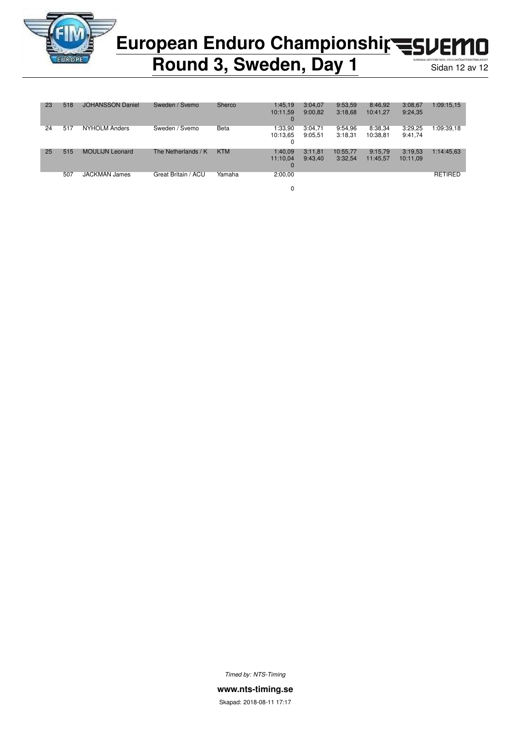

### European Enduro Championshir<br /> **European Enduro Championship<br />
<a>
FLOPED** П

### **Round 3, Sweden, Day 1** Sidan 12 av 12

| 23 | 518 | <b>JOHANSSON Daniel</b> | Sweden / Svemo      | Sherco     | 1:45,19<br>10:11,59      | 3:04.07<br>9:00.82 | 9:53,59<br>3:18,68  | 8:46,92<br>10:41.27 | 3:08,67<br>9:24,35  | 1:09:15,15     |
|----|-----|-------------------------|---------------------|------------|--------------------------|--------------------|---------------------|---------------------|---------------------|----------------|
|    |     |                         |                     |            | 0                        |                    |                     |                     |                     |                |
| 24 | 517 | <b>NYHOLM Anders</b>    | Sweden / Svemo      | Beta       | 1:33,90<br>10:13.65<br>0 | 3:04.71<br>9:05.51 | 9:54.96<br>3:18,31  | 8:38,34<br>10:38,81 | 3:29.25<br>9:41,74  | 1:09:39.18     |
| 25 | 515 | <b>MOULIJN Leonard</b>  | The Netherlands / K | <b>KTM</b> | 1:40.09<br>11:10.04<br>0 | 3:11.81<br>9:43.40 | 10:55.77<br>3:32,54 | 9:15.79<br>11:45,57 | 3:19.53<br>10:11,09 | 1:14:45,63     |
|    | 507 | <b>JACKMAN James</b>    | Great Britain / ACU | Yamaha     | 2:00,00                  |                    |                     |                     |                     | <b>RETIRED</b> |

0

*Timed by: NTS-Timing*